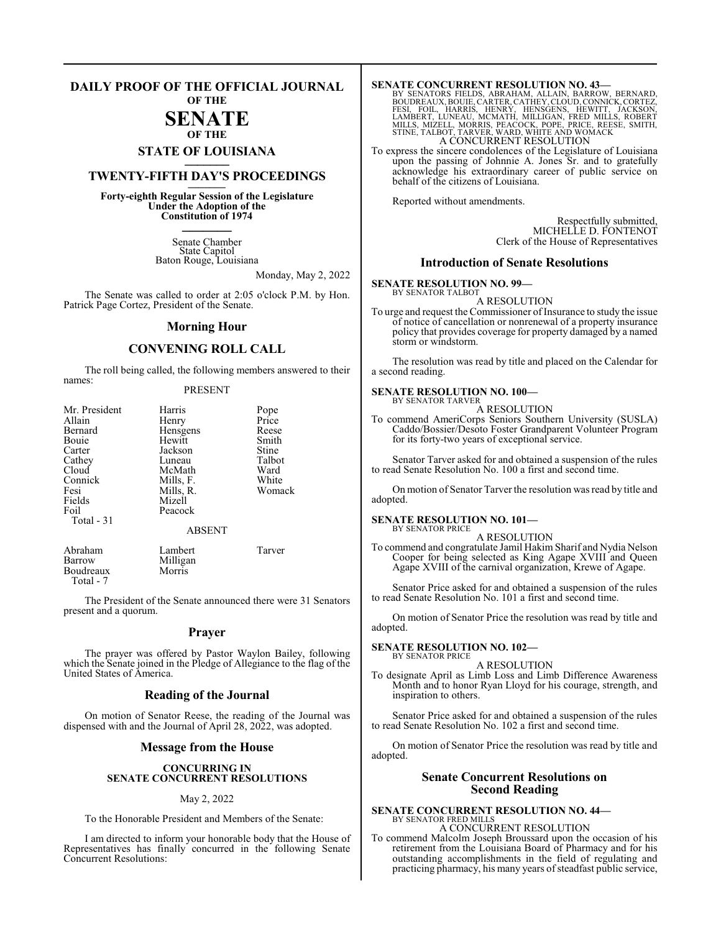## **DAILY PROOF OF THE OFFICIAL JOURNAL**

**OF THE**

## **SENATE OF THE**

**STATE OF LOUISIANA \_\_\_\_\_\_\_**

## **TWENTY-FIFTH DAY'S PROCEEDINGS \_\_\_\_\_\_\_**

**Forty-eighth Regular Session of the Legislature Under the Adoption of the Constitution of 1974 \_\_\_\_\_\_\_**

> Senate Chamber State Capitol Baton Rouge, Louisiana

> > Monday, May 2, 2022

The Senate was called to order at 2:05 o'clock P.M. by Hon. Patrick Page Cortez, President of the Senate.

#### **Morning Hour**

### **CONVENING ROLL CALL**

The roll being called, the following members answered to their names:

#### PRESENT

| Mr. President | Harris        | Pope   |
|---------------|---------------|--------|
| Allain        | Henry         | Price  |
| Bernard       | Hensgens      | Reese  |
| Bouie         | Hewitt        | Smith  |
| Carter        | Jackson       | Stine  |
| Cathey        | Luneau        | Talbot |
| Cloud         | McMath        | Ward   |
| Connick       | Mills, F.     | White  |
| Fesi          | Mills, R.     | Womack |
| Fields        | Mizell        |        |
| Foil          | Peacock       |        |
| Total - 31    |               |        |
|               | <b>ABSENT</b> |        |
| Abraham       | Lambert       | Tarver |
| Barrow        | Milligan      |        |
| Boudreaux     | Morris        |        |

Boudreaux Total - 7

The President of the Senate announced there were 31 Senators present and a quorum.

#### **Prayer**

The prayer was offered by Pastor Waylon Bailey, following which the Senate joined in the Pledge of Allegiance to the flag of the United States of America.

#### **Reading of the Journal**

On motion of Senator Reese, the reading of the Journal was dispensed with and the Journal of April 28, 2022, was adopted.

#### **Message from the House**

#### **CONCURRING IN SENATE CONCURRENT RESOLUTIONS**

#### May 2, 2022

To the Honorable President and Members of the Senate:

I am directed to inform your honorable body that the House of Representatives has finally concurred in the following Senate Concurrent Resolutions:

SENATE CONCURRENT RESOLUTION NO. 43<br>BY SENATORS FIELDS, ABRAHAM, ALLAIN, BARROW, BERNARD,<br>BOUDREAUX, BOUIE, CARTER, CATHEY, CLOUD, CONNICK, CORTEZ,<br>FESI, FOIL, HARRIS, HENRY, HENSGENS, HEWITT, JACKSON,<br>LAMBERT, LUNEAU, MCM A CONCURRENT RESOLUTION

To express the sincere condolences of the Legislature of Louisiana upon the passing of Johnnie A. Jones Sr. and to gratefully acknowledge his extraordinary career of public service on behalf of the citizens of Louisiana.

Reported without amendments.

Respectfully submitted, MICHELLE D. FONTENOT Clerk of the House of Representatives

#### **Introduction of Senate Resolutions**

#### **SENATE RESOLUTION NO. 99—**

BY SENATOR TALBOT A RESOLUTION

To urge and request the Commissioner of Insurance to study the issue of notice of cancellation or nonrenewal of a property insurance policy that provides coverage for property damaged by a named storm or windstorm.

The resolution was read by title and placed on the Calendar for a second reading.

#### **SENATE RESOLUTION NO. 100—**

BY SENATOR TARVER A RESOLUTION

To commend AmeriCorps Seniors Southern University (SUSLA) Caddo/Bossier/Desoto Foster Grandparent Volunteer Program for its forty-two years of exceptional service.

Senator Tarver asked for and obtained a suspension of the rules to read Senate Resolution No. 100 a first and second time.

On motion of Senator Tarver the resolution was read by title and adopted.

#### **SENATE RESOLUTION NO. 101—** BY SENATOR PRICE

A RESOLUTION

To commend and congratulate Jamil Hakim Sharif and Nydia Nelson Cooper for being selected as King Agape XVIII and Queen Agape XVIII of the carnival organization, Krewe of Agape.

Senator Price asked for and obtained a suspension of the rules to read Senate Resolution No. 101 a first and second time.

On motion of Senator Price the resolution was read by title and adopted.

#### **SENATE RESOLUTION NO. 102—** BY SENATOR PRICE

A RESOLUTION

To designate April as Limb Loss and Limb Difference Awareness Month and to honor Ryan Lloyd for his courage, strength, and inspiration to others.

Senator Price asked for and obtained a suspension of the rules to read Senate Resolution No. 102 a first and second time.

On motion of Senator Price the resolution was read by title and adopted.

#### **Senate Concurrent Resolutions on Second Reading**

## **SENATE CONCURRENT RESOLUTION NO. 44—** BY SENATOR FRED MILLS A CONCURRENT RESOLUTION

To commend Malcolm Joseph Broussard upon the occasion of his retirement from the Louisiana Board of Pharmacy and for his outstanding accomplishments in the field of regulating and practicing pharmacy, his many years of steadfast public service,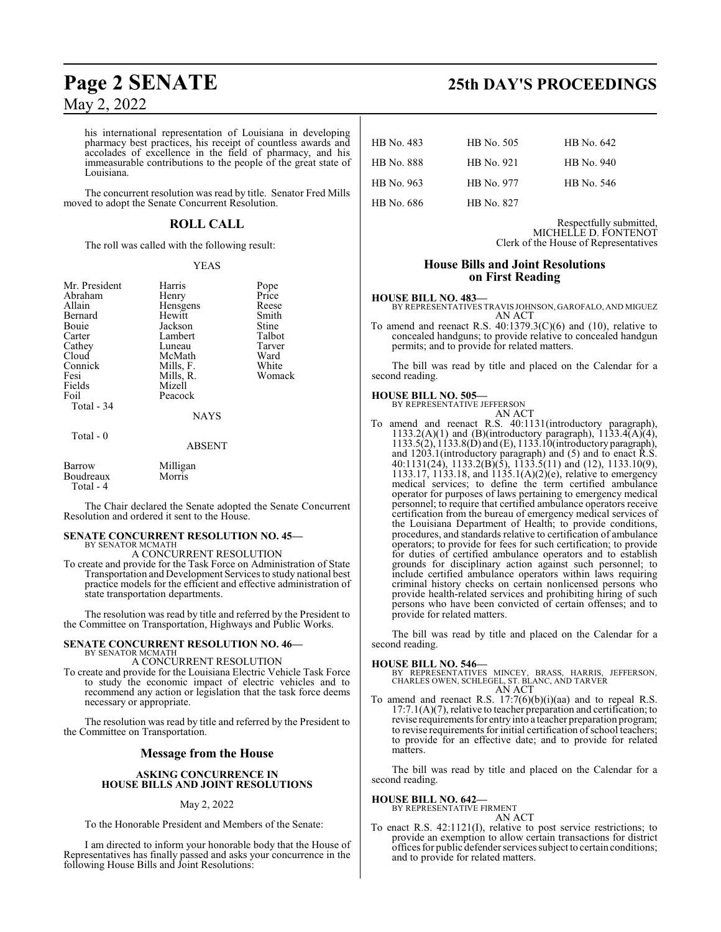his international representation of Louisiana in developing pharmacy best practices, his receipt of countless awards and accolades of excellence in the field of pharmacy, and his immeasurable contributions to the people of the great state of Louisiana.

The concurrent resolution was read by title. Senator Fred Mills moved to adopt the Senate Concurrent Resolution.

## **ROLL CALL**

The roll was called with the following result:

#### YEAS

| Mr. President<br>Abraham<br>Allain<br>Bernard<br>Bouie<br>Carter<br>Cathey<br>Cloud<br>Connick<br>Fesi<br>Fields | Harris<br>Henry<br>Hensgens<br>Hewitt<br>Jackson<br>Lambert<br>Luneau<br>McMath<br>Mills, F.<br>Mills, R.<br>Mizell | Pope<br>Price<br>Reese<br>Smith<br>Stine<br>Talbot<br>Tarver<br>Ward<br>White<br>Womack |
|------------------------------------------------------------------------------------------------------------------|---------------------------------------------------------------------------------------------------------------------|-----------------------------------------------------------------------------------------|
| Foil<br>Total - 34                                                                                               | Peacock<br><b>NAYS</b>                                                                                              |                                                                                         |
| Total - 0                                                                                                        | <b>ARSENT</b>                                                                                                       |                                                                                         |

Barrow Milligan<br>Boudreaux Morris Boudreaux Total - 4

The Chair declared the Senate adopted the Senate Concurrent Resolution and ordered it sent to the House.

## **SENATE CONCURRENT RESOLUTION NO. 45—**

BY SENATOR MCMATH A CONCURRENT RESOLUTION

To create and provide for the Task Force on Administration of State Transportation and Development Services to study national best practice models for the efficient and effective administration of state transportation departments.

The resolution was read by title and referred by the President to the Committee on Transportation, Highways and Public Works.

#### **SENATE CONCURRENT RESOLUTION NO. 46—** BY SENATOR MCMATH

A CONCURRENT RESOLUTION

To create and provide for the Louisiana Electric Vehicle Task Force to study the economic impact of electric vehicles and to recommend any action or legislation that the task force deems necessary or appropriate.

The resolution was read by title and referred by the President to the Committee on Transportation.

### **Message from the House**

#### **ASKING CONCURRENCE IN HOUSE BILLS AND JOINT RESOLUTIONS**

#### May 2, 2022

To the Honorable President and Members of the Senate:

I am directed to inform your honorable body that the House of Representatives has finally passed and asks your concurrence in the following House Bills and Joint Resolutions:

# **Page 2 SENATE 25th DAY'S PROCEEDINGS**

| HB No. 483        | HB No. 505 | HB No. 642 |
|-------------------|------------|------------|
| <b>HB</b> No. 888 | HB No. 921 | HB No. 940 |
| HB No. 963        | HB No. 977 | HB No. 546 |
| HB No. 686        | HB No. 827 |            |

Respectfully submitted, MICHELLE D. FONTENOT Clerk of the House of Representatives

## **House Bills and Joint Resolutions on First Reading**

#### **HOUSE BILL NO. 483—**

BY REPRESENTATIVES TRAVIS JOHNSON, GAROFALO, AND MIGUEZ AN ACT

To amend and reenact R.S.  $40:1379.3(C)(6)$  and  $(10)$ , relative to concealed handguns; to provide relative to concealed handgun permits; and to provide for related matters.

The bill was read by title and placed on the Calendar for a second reading.

#### **HOUSE BILL NO. 505—**

BY REPRESENTATIVE JEFFERSON

AN ACT To amend and reenact R.S. 40:1131(introductory paragraph), 1133.2(A)(1) and (B)(introductory paragraph),  $1133.4(A)(4)$ , 1133.5(2), 1133.8(D) and (E), 1133.10(introductory paragraph), and 1203.1(introductory paragraph) and (5) and to enact R.S. 40:1131(24), 1133.2(B)(5), 1133.5(11) and (12), 1133.10(9), 1133.17, 1133.18, and 1135.1(A)(2)(e), relative to emergency medical services; to define the term certified ambulance operator for purposes of laws pertaining to emergency medical personnel; to require that certified ambulance operators receive certification from the bureau of emergency medical services of the Louisiana Department of Health; to provide conditions, procedures, and standards relative to certification of ambulance operators; to provide for fees for such certification; to provide for duties of certified ambulance operators and to establish grounds for disciplinary action against such personnel; to include certified ambulance operators within laws requiring criminal history checks on certain nonlicensed persons who provide health-related services and prohibiting hiring of such persons who have been convicted of certain offenses; and to provide for related matters.

The bill was read by title and placed on the Calendar for a second reading.

**HOUSE BILL NO. 546—** BY REPRESENTATIVES MINCEY, BRASS, HARRIS, JEFFERSON, CHARLES OWEN, SCHLEGEL, ST. BLANC, AND TARVER AN ACT

To amend and reenact R.S. 17:7(6)(b)(i)(aa) and to repeal R.S. 17:7.1(A)(7), relative to teacher preparation and certification; to revise requirements for entry into a teacher preparation program; to revise requirements for initial certification of school teachers; to provide for an effective date; and to provide for related matters.

The bill was read by title and placed on the Calendar for a second reading.

**HOUSE BILL NO. 642—** BY REPRESENTATIVE FIRMENT

#### AN ACT

To enact R.S. 42:1121(I), relative to post service restrictions; to provide an exemption to allow certain transactions for district offices for public defender services subject to certain conditions; and to provide for related matters.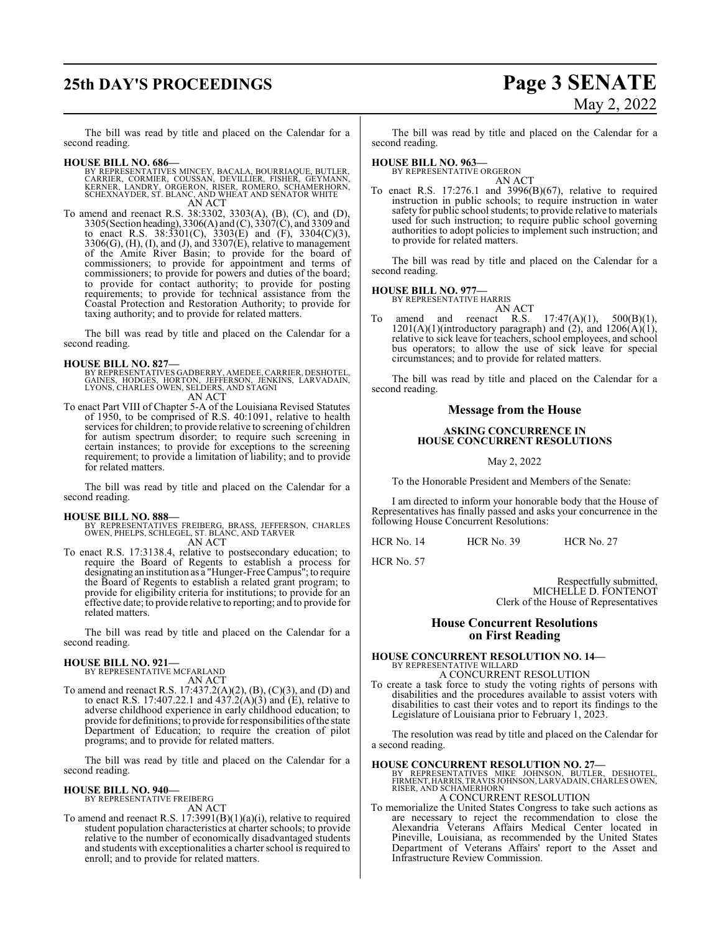# **25th DAY'S PROCEEDINGS Page 3 SENATE**

# May 2, 2022

The bill was read by title and placed on the Calendar for a second reading.

#### **HOUSE BILL NO. 686—**

- BY REPRESENTATIVES MINCEY, BACALA, BOURRIAQUE, BUTLER,<br>CARRIER, CORMIER, COUSSAN, DEVILLIER, FISHER, GEYMANN,<br>KERNER, CARMIER, COUSSAN, DEVILLIER, FISHER, GEYMANN,<br>SCHEXNAYDER, ST. BLANC, AND WHEAT AND SENATOR WHITE<br>AN ACT
- To amend and reenact R.S. 38:3302, 3303(A), (B), (C), and (D), 3305(Section heading), 3306(A) and (C), 3307(C), and 3309 and to enact R.S. 38:3301(C), 3303(E) and (F), 3304(C)(3), 3306(G), (H), (I), and (J), and 3307(E), relative to management of the Amite River Basin; to provide for the board of commissioners; to provide for appointment and terms of commissioners; to provide for powers and duties of the board; to provide for contact authority; to provide for posting requirements; to provide for technical assistance from the Coastal Protection and Restoration Authority; to provide for taxing authority; and to provide for related matters.

The bill was read by title and placed on the Calendar for a second reading.

#### **HOUSE BILL NO. 827—**

BY REPRESENTATIVES GADBERRY, AMEDEE, CARRIER, DESHOTEL,<br>GAINES, HODGES, HORTON, JEFFERSON, JENKINS, LARVADAIN,<br>LYONS, CHARLES OWEN, SELDERS, AND STAGNI<br>AN ACT

To enact Part VIII of Chapter 5-A of the Louisiana Revised Statutes of 1950, to be comprised of R.S. 40:1091, relative to health services for children; to provide relative to screening of children for autism spectrum disorder; to require such screening in certain instances; to provide for exceptions to the screening requirement; to provide a limitation of liability; and to provide for related matters.

The bill was read by title and placed on the Calendar for a second reading.

**HOUSE BILL NO. 888—** BY REPRESENTATIVES FREIBERG, BRASS, JEFFERSON, CHARLES OWEN, PHELPS, SCHLEGEL, ST. BLANC, AND TARVER AN ACT

To enact R.S. 17:3138.4, relative to postsecondary education; to require the Board of Regents to establish a process for designating an institution as a "Hunger-Free Campus"; to require the Board of Regents to establish a related grant program; to provide for eligibility criteria for institutions; to provide for an effective date; to provide relative to reporting; and to provide for related matters.

The bill was read by title and placed on the Calendar for a second reading.

#### **HOUSE BILL NO. 921—**

BY REPRESENTATIVE MCFARLAND AN ACT

To amend and reenact R.S. 17:437.2(A)(2), (B), (C)(3), and (D) and to enact R.S. 17:407.22.1 and  $437.2(A)(3)$  and (E), relative to adverse childhood experience in early childhood education; to provide for definitions; to provide for responsibilities ofthe state Department of Education; to require the creation of pilot programs; and to provide for related matters.

The bill was read by title and placed on the Calendar for a second reading.

# **HOUSE BILL NO. 940—** BY REPRESENTATIVE FREIBERG

AN ACT

To amend and reenact R.S. 17:3991(B)(1)(a)(i), relative to required student population characteristics at charter schools; to provide relative to the number of economically disadvantaged students and students with exceptionalities a charter school is required to enroll; and to provide for related matters.

The bill was read by title and placed on the Calendar for a second reading.

### **HOUSE BILL NO. 963—**

BY REPRESENTATIVE ORGERON AN ACT

To enact R.S. 17:276.1 and 3996(B)(67), relative to required instruction in public schools; to require instruction in water safety for public school students; to provide relative to materials used for such instruction; to require public school governing authorities to adopt policies to implement such instruction; and to provide for related matters.

The bill was read by title and placed on the Calendar for a second reading.

#### **HOUSE BILL NO. 977—**

BY REPRESENTATIVE HARRIS

AN ACT

To amend and reenact R.S.  $17:47(A)(1)$ ,  $500(B)(1)$ ,  $1201(A)(1)$ (introductory paragraph) and  $(2)$ , and  $1206(A)(1)$ , relative to sick leave for teachers, school employees, and school bus operators; to allow the use of sick leave for special circumstances; and to provide for related matters.

The bill was read by title and placed on the Calendar for a second reading.

#### **Message from the House**

#### **ASKING CONCURRENCE IN HOUSE CONCURRENT RESOLUTIONS**

May 2, 2022

To the Honorable President and Members of the Senate:

I am directed to inform your honorable body that the House of Representatives has finally passed and asks your concurrence in the following House Concurrent Resolutions:

HCR No. 14 HCR No. 39 HCR No. 27

HCR No. 57

Respectfully submitted, MICHELLE D. FONTENOT Clerk of the House of Representatives

#### **House Concurrent Resolutions on First Reading**

# **HOUSE CONCURRENT RESOLUTION NO. 14—** BY REPRESENTATIVE WILLARD

A CONCURRENT RESOLUTION

To create a task force to study the voting rights of persons with disabilities and the procedures available to assist voters with disabilities to cast their votes and to report its findings to the Legislature of Louisiana prior to February 1, 2023.

The resolution was read by title and placed on the Calendar for a second reading.

#### **HOUSE CONCURRENT RESOLUTION NO. 27—**

BY REPRESENTATIVES MIKE JOHNSON, BUTLER, DESHOTEL, FIRMENT, HARRIS, TRAVIS JOHNSON, LARVADAIN,CHARLES OWEN, RISER, AND SCHAMERHORN

#### A CONCURRENT RESOLUTION

To memorialize the United States Congress to take such actions as are necessary to reject the recommendation to close the Alexandria Veterans Affairs Medical Center located in Pineville, Louisiana, as recommended by the United States Department of Veterans Affairs' report to the Asset and Infrastructure Review Commission.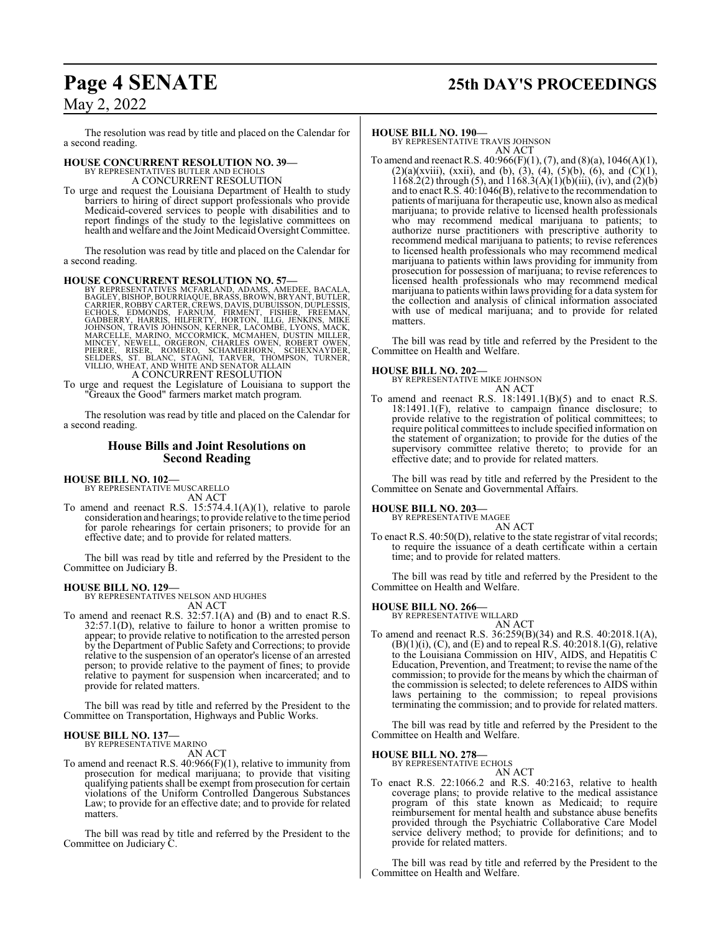# **Page 4 SENATE 25th DAY'S PROCEEDINGS**

## May 2, 2022

The resolution was read by title and placed on the Calendar for a second reading.

## **HOUSE CONCURRENT RESOLUTION NO. 39—**

BY REPRESENTATIVES BUTLER AND ECHOL A CONCURRENT RESOLUTION

To urge and request the Louisiana Department of Health to study barriers to hiring of direct support professionals who provide Medicaid-covered services to people with disabilities and to report findings of the study to the legislative committees on health and welfare and the Joint Medicaid Oversight Committee.

The resolution was read by title and placed on the Calendar for a second reading.

HOUSE CONCURRENT RESOLUTION NO. 57—<br>BY REPRESENTATIVES MCFARLAND, ADAMS, AMEDEE, BACALA,<br>BAGLEY, BISHOP, BOURRIAQUE, BRASS, BROWN, BRYANT, BUTLER,<br>CARRIER, ROBBY CARTER, CREWS, DAVIS, DUBUISSON, DUPLESSIS,<br>ECHOLS, EDMONDS, MARCELLE, MARINO, MCCORMICK, MCMAHEN, DUSTIN MILLER,<br>MINCEY, NEWELL, ORGERON, CHARLES OWEN, ROBERT OWEN,<br>PIERRE, RISER, ROMERO, SCHAMERHORN, SCHEXNAYDER,<br>SELDERS, ST. BLANC, STAGNI, TARVER, THOMPSON, TURNER,<br>VILLIO, WHEAT,

To urge and request the Legislature of Louisiana to support the "Greaux the Good" farmers market match program.

The resolution was read by title and placed on the Calendar for a second reading.

#### **House Bills and Joint Resolutions on Second Reading**

**HOUSE BILL NO. 102—** BY REPRESENTATIVE MUSCARELLO

AN ACT

To amend and reenact R.S. 15:574.4.1(A)(1), relative to parole consideration and hearings; to provide relative to the time period for parole rehearings for certain prisoners; to provide for an effective date; and to provide for related matters.

The bill was read by title and referred by the President to the Committee on Judiciary B.

#### **HOUSE BILL NO. 129—**

BY REPRESENTATIVES NELSON AND HUGHES AN ACT

To amend and reenact R.S. 32:57.1(A) and (B) and to enact R.S. 32:57.1(D), relative to failure to honor a written promise to appear; to provide relative to notification to the arrested person by the Department of Public Safety and Corrections; to provide relative to the suspension of an operator's license of an arrested person; to provide relative to the payment of fines; to provide relative to payment for suspension when incarcerated; and to provide for related matters.

The bill was read by title and referred by the President to the Committee on Transportation, Highways and Public Works.

#### **HOUSE BILL NO. 137—** BY REPRESENTATIVE MARINO

AN ACT

To amend and reenact R.S.  $40:966(F)(1)$ , relative to immunity from prosecution for medical marijuana; to provide that visiting qualifying patients shall be exempt from prosecution for certain violations of the Uniform Controlled Dangerous Substances Law; to provide for an effective date; and to provide for related matters.

The bill was read by title and referred by the President to the Committee on Judiciary C.

#### **HOUSE BILL NO. 190—**

BY REPRESENTATIVE TRAVIS JOHNSON AN ACT

To amend and reenact R.S.  $40:966(F)(1)$ ,  $(7)$ , and  $(8)(a)$ ,  $1046(A)(1)$ ,  $(2)(a)(xviii)$ ,  $(xxii)$ , and  $(b)$ ,  $(3)$ ,  $(4)$ ,  $(5)(b)$ ,  $(6)$ , and  $(C)(1)$ ,  $1168.2(2)$  through (5), and  $1168.3(A)(1)(b)(iii)$ , (iv), and (2)(b) and to enact R.S. 40:1046(B), relative to the recommendation to patients of marijuana for therapeutic use, known also as medical marijuana; to provide relative to licensed health professionals who may recommend medical marijuana to patients; to authorize nurse practitioners with prescriptive authority to recommend medical marijuana to patients; to revise references to licensed health professionals who may recommend medical marijuana to patients within laws providing for immunity from prosecution for possession of marijuana; to revise references to licensed health professionals who may recommend medical marijuana to patients within laws providing for a data systemfor the collection and analysis of clinical information associated with use of medical marijuana; and to provide for related matters.

The bill was read by title and referred by the President to the Committee on Health and Welfare.

#### **HOUSE BILL NO. 202—**

BY REPRESENTATIVE MIKE JOHNSON AN ACT

To amend and reenact R.S. 18:1491.1(B)(5) and to enact R.S. 18:1491.1(F), relative to campaign finance disclosure; to provide relative to the registration of political committees; to require political committees to include specified information on the statement of organization; to provide for the duties of the supervisory committee relative thereto; to provide for an effective date; and to provide for related matters.

The bill was read by title and referred by the President to the Committee on Senate and Governmental Affairs.

#### **HOUSE BILL NO. 203—**

BY REPRESENTATIVE MAGEE

AN ACT To enact R.S. 40:50(D), relative to the state registrar of vital records; to require the issuance of a death certificate within a certain time; and to provide for related matters.

The bill was read by title and referred by the President to the Committee on Health and Welfare.

## **HOUSE BILL NO. 266—** BY REPRESENTATIVE WILLARD

AN ACT To amend and reenact R.S. 36:259(B)(34) and R.S. 40:2018.1(A),  $(B)(1)(i)$ ,  $(C)$ , and  $(E)$  and to repeal R.S. 40:2018.1 $(G)$ , relative to the Louisiana Commission on HIV, AIDS, and Hepatitis C Education, Prevention, and Treatment; to revise the name of the commission; to provide for the means by which the chairman of the commission is selected; to delete references to AIDS within laws pertaining to the commission; to repeal provisions terminating the commission; and to provide for related matters.

The bill was read by title and referred by the President to the Committee on Health and Welfare.

#### **HOUSE BILL NO. 278—**

BY REPRESENTATIVE ECHOLS AN ACT

To enact R.S. 22:1066.2 and R.S. 40:2163, relative to health coverage plans; to provide relative to the medical assistance program of this state known as Medicaid; to require reimbursement for mental health and substance abuse benefits provided through the Psychiatric Collaborative Care Model service delivery method; to provide for definitions; and to provide for related matters.

The bill was read by title and referred by the President to the Committee on Health and Welfare.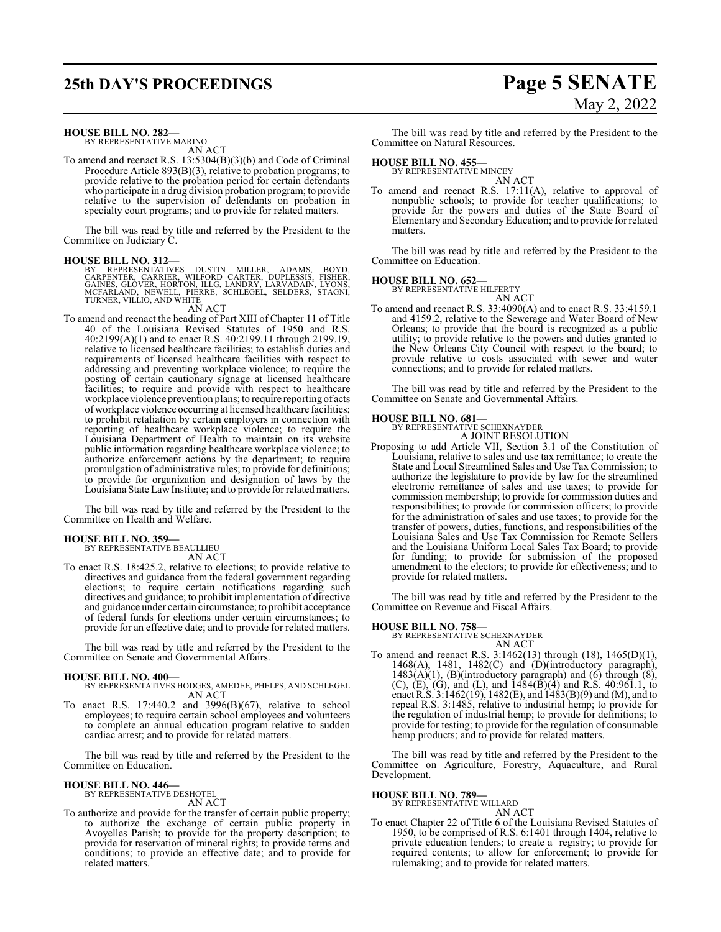# **25th DAY'S PROCEEDINGS Page 5 SENATE** May 2, 2022

#### **HOUSE BILL NO. 282—**

BY REPRESENTATIVE MARINO AN ACT

To amend and reenact R.S. 13:5304(B)(3)(b) and Code of Criminal Procedure Article 893(B)(3), relative to probation programs; to provide relative to the probation period for certain defendants who participate in a drug division probation program; to provide relative to the supervision of defendants on probation in specialty court programs; and to provide for related matters.

The bill was read by title and referred by the President to the Committee on Judiciary C.

#### **HOUSE BILL NO. 312—**

BY REPRESENTATIVES DUSTIN MILLER, ADAMS, BOYD,<br>CARPENTER, CARRIER, WILFORD CARTER, DUPLESSIS, FISHER,<br>GAINES, GLOVER, HORTON, ILLG, LANDRY, LARVADAIN, LYONS,<br>MCFARLAND, NEWELL, PIERRE, SCHLEGEL, SELDERS, STAGNI,<br>TURNER,VIL AN ACT

To amend and reenact the heading of Part XIII of Chapter 11 of Title 40 of the Louisiana Revised Statutes of 1950 and R.S. 40:2199(A)(1) and to enact R.S. 40:2199.11 through 2199.19, relative to licensed healthcare facilities; to establish duties and requirements of licensed healthcare facilities with respect to addressing and preventing workplace violence; to require the posting of certain cautionary signage at licensed healthcare facilities; to require and provide with respect to healthcare workplace violence prevention plans; to require reporting of acts ofworkplace violence occurring at licensed healthcare facilities; to prohibit retaliation by certain employers in connection with reporting of healthcare workplace violence; to require the Louisiana Department of Health to maintain on its website public information regarding healthcare workplace violence; to authorize enforcement actions by the department; to require promulgation of administrative rules; to provide for definitions; to provide for organization and designation of laws by the Louisiana State LawInstitute; and to provide forrelated matters.

The bill was read by title and referred by the President to the Committee on Health and Welfare.

#### **HOUSE BILL NO. 359—** BY REPRESENTATIVE BEAULLIEU

AN ACT

To enact R.S. 18:425.2, relative to elections; to provide relative to directives and guidance from the federal government regarding elections; to require certain notifications regarding such directives and guidance; to prohibit implementation of directive and guidance under certain circumstance; to prohibit acceptance of federal funds for elections under certain circumstances; to provide for an effective date; and to provide for related matters.

The bill was read by title and referred by the President to the Committee on Senate and Governmental Affairs.

#### **HOUSE BILL NO. 400—**

- BY REPRESENTATIVES HODGES, AMEDEE, PHELPS, AND SCHLEGEL AN ACT
- To enact R.S. 17:440.2 and 3996(B)(67), relative to school employees; to require certain school employees and volunteers to complete an annual education program relative to sudden cardiac arrest; and to provide for related matters.

The bill was read by title and referred by the President to the Committee on Education.

#### **HOUSE BILL NO. 446—**

BY REPRESENTATIVE DESHOTEL AN ACT

To authorize and provide for the transfer of certain public property; to authorize the exchange of certain public property in Avoyelles Parish; to provide for the property description; to provide for reservation of mineral rights; to provide terms and conditions; to provide an effective date; and to provide for related matters.

The bill was read by title and referred by the President to the Committee on Natural Resources.

#### **HOUSE BILL NO. 455—**

BY REPRESENTATIVE MINCEY AN ACT

To amend and reenact R.S. 17:11(A), relative to approval of nonpublic schools; to provide for teacher qualifications; to provide for the powers and duties of the State Board of Elementary and SecondaryEducation; and to provide for related matters.

The bill was read by title and referred by the President to the Committee on Education.

# **HOUSE BILL NO. 652—** BY REPRESENTATIVE HILFERTY

AN ACT To amend and reenact R.S. 33:4090(A) and to enact R.S. 33:4159.1 and 4159.2, relative to the Sewerage and Water Board of New Orleans; to provide that the board is recognized as a public utility; to provide relative to the powers and duties granted to the New Orleans City Council with respect to the board; to provide relative to costs associated with sewer and water connections; and to provide for related matters.

The bill was read by title and referred by the President to the Committee on Senate and Governmental Affairs.

#### **HOUSE BILL NO. 681—**

BY REPRESENTATIVE SCHEXNAYDER A JOINT RESOLUTION

Proposing to add Article VII, Section 3.1 of the Constitution of Louisiana, relative to sales and use tax remittance; to create the State and Local Streamlined Sales and Use Tax Commission; to authorize the legislature to provide by law for the streamlined electronic remittance of sales and use taxes; to provide for commission membership; to provide for commission duties and responsibilities; to provide for commission officers; to provide for the administration of sales and use taxes; to provide for the transfer of powers, duties, functions, and responsibilities of the Louisiana Sales and Use Tax Commission for Remote Sellers and the Louisiana Uniform Local Sales Tax Board; to provide for funding; to provide for submission of the proposed amendment to the electors; to provide for effectiveness; and to provide for related matters.

The bill was read by title and referred by the President to the Committee on Revenue and Fiscal Affairs.

**HOUSE BILL NO. 758—** BY REPRESENTATIVE SCHEXNAYDER AN ACT

To amend and reenact R.S. 3:1462(13) through (18), 1465(D)(1), 1468(A), 1481, 1482(C) and (D)(introductory paragraph),  $1483(A)(1)$ , (B)(introductory paragraph) and (6) through (8), (C), (E), (G), and (L), and 1484(B)(4) and R.S. 40:961.1, to enact R.S. 3:1462(19), 1482(E), and 1483(B)(9) and (M), and to repeal R.S. 3:1485, relative to industrial hemp; to provide for the regulation of industrial hemp; to provide for definitions; to provide for testing; to provide for the regulation of consumable hemp products; and to provide for related matters.

The bill was read by title and referred by the President to the Committee on Agriculture, Forestry, Aquaculture, and Rural Development.

#### **HOUSE BILL NO. 789—**

BY REPRESENTATIVE WILLARD AN ACT

To enact Chapter 22 of Title 6 of the Louisiana Revised Statutes of 1950, to be comprised of R.S. 6:1401 through 1404, relative to private education lenders; to create a registry; to provide for required contents; to allow for enforcement; to provide for rulemaking; and to provide for related matters.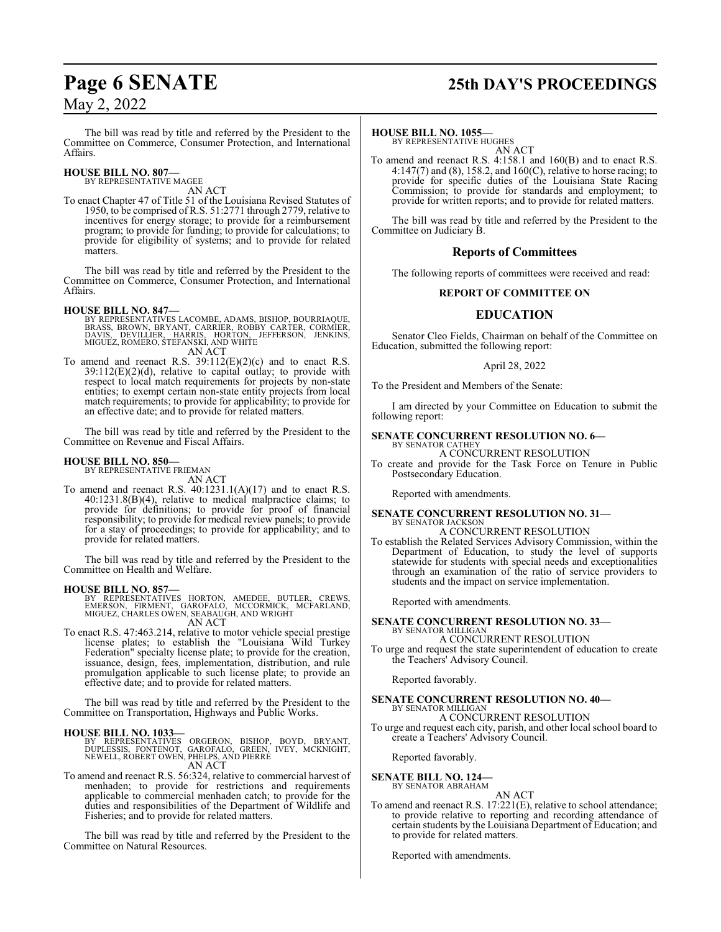#### The bill was read by title and referred by the President to the Committee on Commerce, Consumer Protection, and International Affairs.

#### **HOUSE BILL NO. 807—** BY REPRESENTATIVE MAGEE

AN ACT

To enact Chapter 47 of Title 51 of the Louisiana Revised Statutes of 1950, to be comprised of R.S. 51:2771 through 2779, relative to incentives for energy storage; to provide for a reimbursement program; to provide for funding; to provide for calculations; to provide for eligibility of systems; and to provide for related matters.

The bill was read by title and referred by the President to the Committee on Commerce, Consumer Protection, and International Affairs.

#### **HOUSE BILL NO. 847—**

- BY REPRESENTATIVES LACOMBE, ADAMS, BISHOP, BOURRIAQUE,<br>BRASS, BROWN, BRYANT, CARRIER, ROBBY CARTER, CORMIER,<br>DAVIS, DEVILLIER, HARRIS, HORTON,<br>MIGUEZ, ROMERO, STEFANSKI, AND WHITE AN ACT
- To amend and reenact R.S. 39:112(E)(2)(c) and to enact R.S.  $39:112(E)(2)(d)$ , relative to capital outlay; to provide with respect to local match requirements for projects by non-state entities; to exempt certain non-state entity projects from local match requirements; to provide for applicability; to provide for an effective date; and to provide for related matters.

The bill was read by title and referred by the President to the Committee on Revenue and Fiscal Affairs.

#### **HOUSE BILL NO. 850—**

BY REPRESENTATIVE FRIEMAN AN ACT

To amend and reenact R.S.  $40:1231.1(A)(17)$  and to enact R.S. 40:1231.8(B)(4), relative to medical malpractice claims; to provide for definitions; to provide for proof of financial responsibility; to provide for medical review panels; to provide for a stay of proceedings; to provide for applicability; and to provide for related matters.

The bill was read by title and referred by the President to the Committee on Health and Welfare.

#### **HOUSE BILL NO. 857—**

BY REPRESENTATIVES HORTON, AMEDEE, BUTLER, CREWS,<br>EMERSON, FIRMENT, GAROFALO, MCCORMICK, MCFARLAND,<br>MIGUEZ,CHARLES OWEN,SEABAUGH,AND WRIGHT AN ACT

To enact R.S. 47:463.214, relative to motor vehicle special prestige license plates; to establish the "Louisiana Wild Turkey Federation" specialty license plate; to provide for the creation, issuance, design, fees, implementation, distribution, and rule promulgation applicable to such license plate; to provide an effective date; and to provide for related matters.

The bill was read by title and referred by the President to the Committee on Transportation, Highways and Public Works.

#### **HOUSE BILL NO. 1033—**

BY REPRESENTATIVES ORGERON, BISHOP, BOYD, BRYANT,<br>DUPLESSIS, FONTENOT, GAROFALO, GREEN, IVEY, MCKNIGHT,<br>NEWELL,ROBERT OWEN,PHELPS,AND PIERRE AN ACT

To amend and reenact R.S. 56:324, relative to commercial harvest of menhaden; to provide for restrictions and requirements applicable to commercial menhaden catch; to provide for the duties and responsibilities of the Department of Wildlife and Fisheries; and to provide for related matters.

The bill was read by title and referred by the President to the Committee on Natural Resources.

#### **HOUSE BILL NO. 1055—**

BY REPRESENTATIVE HUGHES AN ACT

To amend and reenact R.S. 4:158.1 and 160(B) and to enact R.S. 4:147(7) and (8), 158.2, and 160(C), relative to horse racing; to provide for specific duties of the Louisiana State Racing Commission; to provide for standards and employment; to provide for written reports; and to provide for related matters.

The bill was read by title and referred by the President to the Committee on Judiciary B.

#### **Reports of Committees**

The following reports of committees were received and read:

#### **REPORT OF COMMITTEE ON**

## **EDUCATION**

Senator Cleo Fields, Chairman on behalf of the Committee on Education, submitted the following report:

#### April 28, 2022

To the President and Members of the Senate:

I am directed by your Committee on Education to submit the following report:

# **SENATE CONCURRENT RESOLUTION NO. 6—** BY SENATOR CATHEY

A CONCURRENT RESOLUTION

To create and provide for the Task Force on Tenure in Public Postsecondary Education.

Reported with amendments.

## **SENATE CONCURRENT RESOLUTION NO. 31—** BY SENATOR JACKSON A CONCURRENT RESOLUTION

To establish the Related Services Advisory Commission, within the Department of Education, to study the level of supports statewide for students with special needs and exceptionalities through an examination of the ratio of service providers to students and the impact on service implementation.

Reported with amendments.

#### **SENATE CONCURRENT RESOLUTION NO. 33—** BY SENATOR MILLIGAN

A CONCURRENT RESOLUTION

To urge and request the state superintendent of education to create the Teachers' Advisory Council.

Reported favorably.

# **SENATE CONCURRENT RESOLUTION NO. 40—** BY SENATOR MILLIGAN

A CONCURRENT RESOLUTION To urge and request each city, parish, and other local school board to create a Teachers' Advisory Council.

Reported favorably.

# **SENATE BILL NO. 124—** BY SENATOR ABRAHAM

AN ACT

To amend and reenact R.S. 17:221(E), relative to school attendance; to provide relative to reporting and recording attendance of certain students by the Louisiana Department of Education; and to provide for related matters.

Reported with amendments.

# **Page 6 SENATE 25th DAY'S PROCEEDINGS**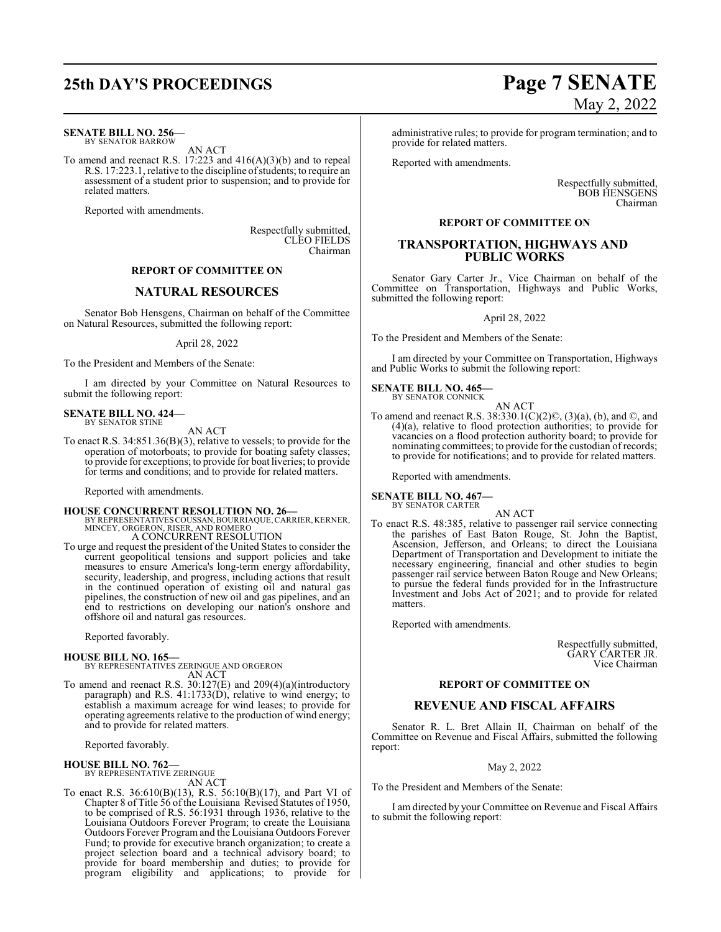# **25th DAY'S PROCEEDINGS Page 7 SENATE**

**SENATE BILL NO. 256—** BY SENATOR BARROW

AN ACT

To amend and reenact R.S. 17:223 and 416(A)(3)(b) and to repeal R.S. 17:223.1, relative to the discipline of students; to require an assessment of a student prior to suspension; and to provide for related matters.

Reported with amendments.

Respectfully submitted, CLEO FIELDS Chairman

### **REPORT OF COMMITTEE ON**

#### **NATURAL RESOURCES**

Senator Bob Hensgens, Chairman on behalf of the Committee on Natural Resources, submitted the following report:

#### April 28, 2022

To the President and Members of the Senate:

I am directed by your Committee on Natural Resources to submit the following report:

#### **SENATE BILL NO. 424—** BY SENATOR STINE

AN ACT

To enact R.S. 34:851.36(B)(3), relative to vessels; to provide for the operation of motorboats; to provide for boating safety classes; to provide for exceptions; to provide for boat liveries; to provide for terms and conditions; and to provide for related matters.

Reported with amendments.

**HOUSE CONCURRENT RESOLUTION NO. 26—** BY REPRESENTATIVES COUSSAN,BOURRIAQUE,CARRIER, KERNER, MINCEY, ORGERON, RISER, AND ROMERO A CONCURRENT RESOLUTION

To urge and request the president of the United States to consider the current geopolitical tensions and support policies and take measures to ensure America's long-term energy affordability, security, leadership, and progress, including actions that result in the continued operation of existing oil and natural gas pipelines, the construction of new oil and gas pipelines, and an end to restrictions on developing our nation's onshore and offshore oil and natural gas resources.

Reported favorably.

**HOUSE BILL NO. 165—** BY REPRESENTATIVES ZERINGUE AND ORGERON AN ACT

To amend and reenact R.S. 30:127(E) and 209(4)(a)(introductory paragraph) and R.S. 41:1733(D), relative to wind energy; to establish a maximum acreage for wind leases; to provide for operating agreements relative to the production of wind energy; and to provide for related matters.

Reported favorably.

## **HOUSE BILL NO. 762—** BY REPRESENTATIVE ZERINGUE

AN ACT

To enact R.S. 36:610(B)(13), R.S. 56:10(B)(17), and Part VI of Chapter 8 of Title 56 of the Louisiana Revised Statutes of 1950, to be comprised of R.S. 56:1931 through 1936, relative to the Louisiana Outdoors Forever Program; to create the Louisiana Outdoors Forever Program and the Louisiana Outdoors Forever Fund; to provide for executive branch organization; to create a project selection board and a technical advisory board; to provide for board membership and duties; to provide for program eligibility and applications; to provide for

# May 2, 2022

administrative rules; to provide for program termination; and to provide for related matters.

Reported with amendments.

Respectfully submitted, BOB HENSGENS Chairman

#### **REPORT OF COMMITTEE ON**

#### **TRANSPORTATION, HIGHWAYS AND PUBLIC WORKS**

Senator Gary Carter Jr., Vice Chairman on behalf of the Committee on Transportation, Highways and Public Works, submitted the following report:

#### April 28, 2022

To the President and Members of the Senate:

I am directed by your Committee on Transportation, Highways and Public Works to submit the following report:

#### **SENATE BILL NO. 465—**

BY SENATOR CONNICK AN ACT

To amend and reenact R.S.  $38:330.1(C)(2)$ ©,  $(3)(a)$ ,  $(b)$ , and ©, and  $(4)(a)$ , relative to flood protection authorities; to provide for vacancies on a flood protection authority board; to provide for nominating committees; to provide for the custodian of records; to provide for notifications; and to provide for related matters.

Reported with amendments.

#### **SENATE BILL NO. 467—** BY SENATOR CARTER

AN ACT

To enact R.S. 48:385, relative to passenger rail service connecting the parishes of East Baton Rouge, St. John the Baptist, Ascension, Jefferson, and Orleans; to direct the Louisiana Department of Transportation and Development to initiate the necessary engineering, financial and other studies to begin passenger rail service between Baton Rouge and New Orleans; to pursue the federal funds provided for in the Infrastructure Investment and Jobs Act of 2021; and to provide for related matters.

Reported with amendments.

Respectfully submitted, GARY CARTER JR. Vice Chairman

#### **REPORT OF COMMITTEE ON**

#### **REVENUE AND FISCAL AFFAIRS**

Senator R. L. Bret Allain II, Chairman on behalf of the Committee on Revenue and Fiscal Affairs, submitted the following report:

May 2, 2022

To the President and Members of the Senate:

I am directed by your Committee on Revenue and Fiscal Affairs to submit the following report: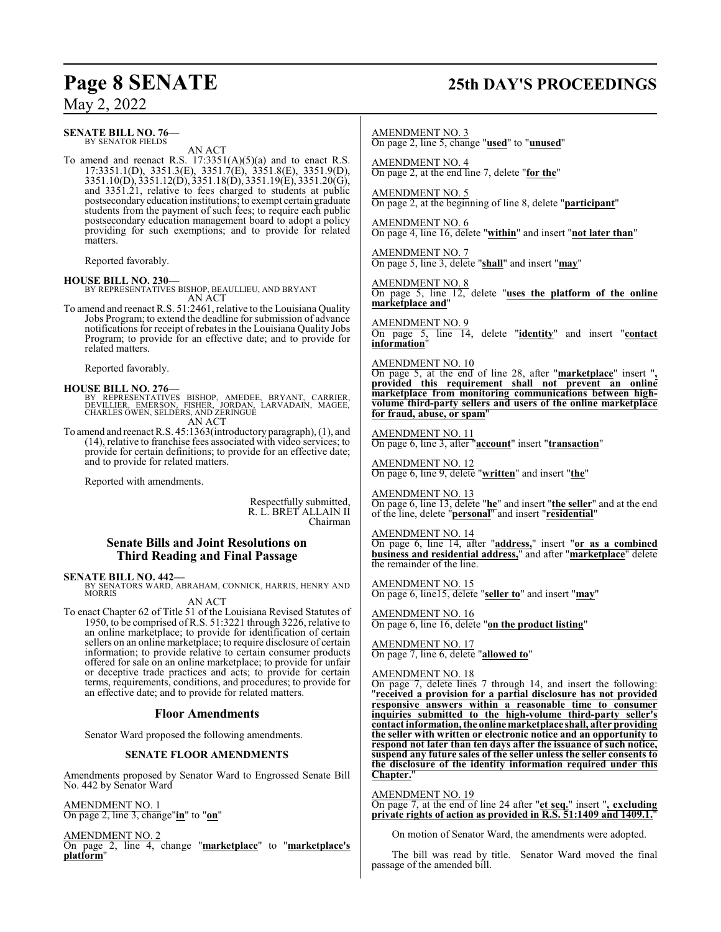#### **SENATE BILL NO. 76—** BY SENATOR FIELDS

AN ACT

To amend and reenact R.S.  $17:3351(A)(5)(a)$  and to enact R.S. 17:3351.1(D), 3351.3(E), 3351.7(E), 3351.8(E), 3351.9(D), 3351.10(D), 3351.12(D), 3351.18(D), 3351.19(E), 3351.20(G), and 3351.21, relative to fees charged to students at public postsecondaryeducation institutions; to exempt certain graduate students from the payment of such fees; to require each public postsecondary education management board to adopt a policy providing for such exemptions; and to provide for related matters.

Reported favorably.

**HOUSE BILL NO. 230—** BY REPRESENTATIVES BISHOP, BEAULLIEU, AND BRYANT AN ACT

To amend and reenact R.S. 51:2461, relative to the Louisiana Quality Jobs Program; to extend the deadline for submission of advance notifications for receipt of rebates in the Louisiana Quality Jobs Program; to provide for an effective date; and to provide for related matters.

Reported favorably.

#### **HOUSE BILL NO. 276—**

BY REPRESENTATIVES BISHOP, AMEDEE, BRYANT, CARRIER,<br>DEVILLIER, EMERSON, FISHER, JORDAN, LARVADAIN, MAGEE,<br>CHARLES OWEN,SELDERS,AND ZERINGUE AN ACT

To amend and reenact R.S. 45:1363(introductory paragraph), (1), and (14), relative to franchise fees associated with video services; to provide for certain definitions; to provide for an effective date; and to provide for related matters.

Reported with amendments.

Respectfully submitted, R. L. BRET ALLAIN II Chairman

#### **Senate Bills and Joint Resolutions on Third Reading and Final Passage**

**SENATE BILL NO. 442—** BY SENATORS WARD, ABRAHAM, CONNICK, HARRIS, HENRY AND MORRIS

AN ACT

To enact Chapter 62 of Title 51 of the Louisiana Revised Statutes of 1950, to be comprised of R.S. 51:3221 through 3226, relative to an online marketplace; to provide for identification of certain sellers on an online marketplace; to require disclosure of certain information; to provide relative to certain consumer products offered for sale on an online marketplace; to provide for unfair or deceptive trade practices and acts; to provide for certain terms, requirements, conditions, and procedures; to provide for an effective date; and to provide for related matters.

#### **Floor Amendments**

Senator Ward proposed the following amendments.

#### **SENATE FLOOR AMENDMENTS**

Amendments proposed by Senator Ward to Engrossed Senate Bill No. 442 by Senator Ward

AMENDMENT NO. 1 On page 2, line 3, change"**in**" to "**on**"

AMENDMENT NO. 2 On page 2, line 4, change "**marketplace**" to "**marketplace's platform**"

## **Page 8 SENATE 25th DAY'S PROCEEDINGS**

AMENDMENT NO. 3

On page 2, line 5, change "**used**" to "**unused**"

AMENDMENT NO. 4 On page 2, at the end line 7, delete "**for the**"

AMENDMENT NO. 5 On page 2, at the beginning of line 8, delete "**participant**"

AMENDMENT NO. 6 On page 4, line 16, delete "**within**" and insert "**not later than**"

AMENDMENT NO. 7 On page 5, line 3, delete "**shall**" and insert "**may**"

AMENDMENT NO. 8 On page 5, line 12, delete "**uses the platform of the online marketplace and**"

AMENDMENT NO. 9 On page 5, line 14, delete "**identity**" and insert "**contact information**"

AMENDMENT NO. 10

On page 5, at the end of line 28, after "**marketplace**" insert "**, provided this requirement shall not prevent an online marketplace from monitoring communications between highvolume third-party sellers and users of the online marketplace for fraud, abuse, or spam**"

AMENDMENT NO. 11 On page 6, line 3, after "**account**" insert "**transaction**"

AMENDMENT NO. 12 On page 6, line 9, delete "**written**" and insert "**the**"

AMENDMENT NO. 13 On page 6, line 13, delete "**he**" and insert "**the seller**" and at the end of the line, delete "**personal**" and insert "**residential**"

AMENDMENT NO. 14 On page 6, line 14, after "**address,**" insert "**or as a combined business and residential address,**" and after "**marketplace**" delete the remainder of the line.

AMENDMENT NO. 15 On page 6, line15, delete "**seller to**" and insert "**may**"

AMENDMENT NO. 16 On page 6, line 16, delete "**on the product listing**"

AMENDMENT NO. 17 On page 7, line 6, delete "**allowed to**"

#### AMENDMENT NO. 18

On page 7, delete lines 7 through 14, and insert the following: "**received a provision for a partial disclosure has not provided responsive answers within a reasonable time to consumer inquiries submitted to the high-volume third-party seller's contact information, the online marketplace shall, after providing the seller with written or electronic notice and an opportunity to respond not later than ten days after the issuance of such notice, suspend any future sales of the seller unless the seller consents to the disclosure of the identity information required under this Chapter.** 

AMENDMENT NO. 19 On page 7, at the end of line 24 after "**et seq.**" insert "**, excluding private rights of action as provided in R.S. 51:1409 and 1409.1.**"

On motion of Senator Ward, the amendments were adopted.

The bill was read by title. Senator Ward moved the final passage of the amended bill.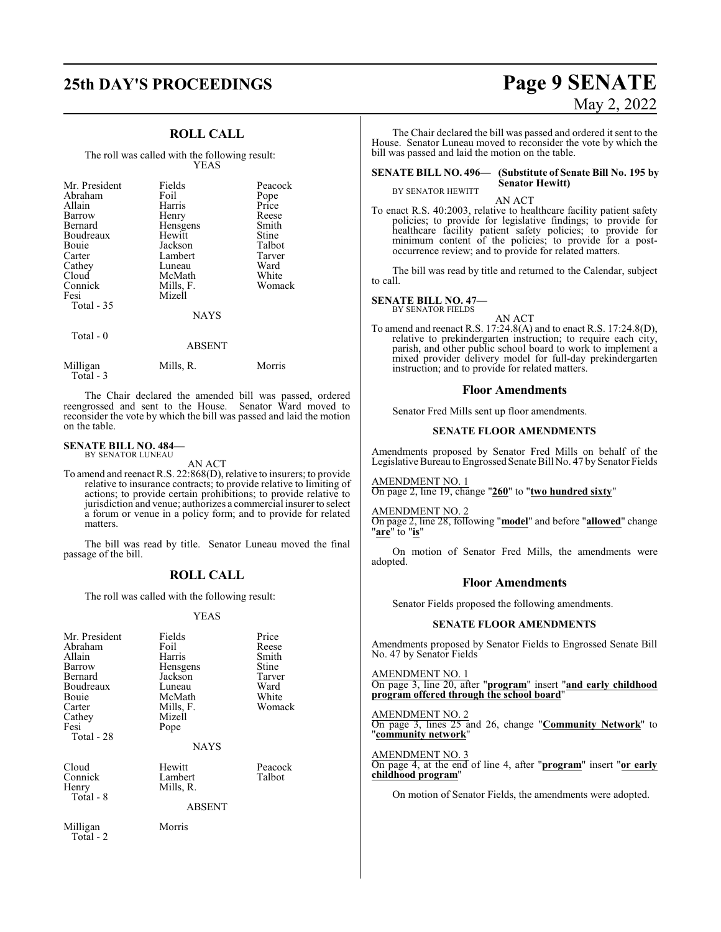# **25th DAY'S PROCEEDINGS Page 9 SENATE**

## **ROLL CALL**

The roll was called with the following result: YEAS

| Mr. President<br>Abraham<br>Allain<br>Barrow<br><b>Bernard</b><br>Boudreaux<br>Bouie<br>Carter<br>Cathey<br>Cloud<br>Connick<br>Fesi<br>Total $-35$ | Fields<br>Foil<br>Harris<br>Henry<br>Hensgens<br>Hewitt<br>Jackson<br>Lambert<br>Luneau<br>McMath<br>Mills, F.<br>Mizell<br><b>NAYS</b> | Peacock<br>Pope<br>Price<br>Reese<br>Smith<br>Stine<br>Talbot<br>Tarver<br>Ward<br>White<br>Womack |
|-----------------------------------------------------------------------------------------------------------------------------------------------------|-----------------------------------------------------------------------------------------------------------------------------------------|----------------------------------------------------------------------------------------------------|
| Total $-0$                                                                                                                                          | <b>ABSENT</b>                                                                                                                           |                                                                                                    |

| Milligan  | Mills, R. | Morris |
|-----------|-----------|--------|
|           |           |        |
| Total - 3 |           |        |

The Chair declared the amended bill was passed, ordered reengrossed and sent to the House. Senator Ward moved to reconsider the vote by which the bill was passed and laid the motion on the table.

#### **SENATE BILL NO. 484—**

BY SENATOR LUNEAU AN ACT

To amend and reenact R.S. 22:868(D), relative to insurers; to provide relative to insurance contracts; to provide relative to limiting of actions; to provide certain prohibitions; to provide relative to jurisdiction and venue; authorizes a commercial insurer to select a forum or venue in a policy form; and to provide for related matters.

The bill was read by title. Senator Luneau moved the final passage of the bill.

### **ROLL CALL**

The roll was called with the following result:

#### YEAS

| Mr. President<br>Abraham<br>Allain<br>Barrow<br>Bernard<br>Boudreaux<br>Bouie<br>Carter<br>Cathey<br>Fesi<br>Total - 28 | Fields<br>Foil<br>Harris<br>Hensgens<br>Jackson<br>Luneau<br>McMath<br>Mills, F.<br>Mizell<br>Pope | Price<br>Reese<br>Smith<br>Stine<br>Tarver<br>Ward<br>White<br>Womack |
|-------------------------------------------------------------------------------------------------------------------------|----------------------------------------------------------------------------------------------------|-----------------------------------------------------------------------|
| Cloud                                                                                                                   | <b>NAYS</b><br>Hewitt                                                                              | Peacock                                                               |
| Connick<br>Henry<br>Total - 8                                                                                           | Lambert<br>Mills, R.                                                                               | Talbot                                                                |
|                                                                                                                         | ABSENT                                                                                             |                                                                       |
| Milligan<br>Total - 2                                                                                                   | Morris                                                                                             |                                                                       |

# May 2, 2022

The Chair declared the bill was passed and ordered it sent to the House. Senator Luneau moved to reconsider the vote by which the bill was passed and laid the motion on the table.

#### **SENATE BILL NO. 496— (Substitute of Senate Bill No. 195 by Senator Hewitt)** BY SENATOR HEWITT

AN ACT

To enact R.S. 40:2003, relative to healthcare facility patient safety policies; to provide for legislative findings; to provide for healthcare facility patient safety policies; to provide for minimum content of the policies; to provide for a postoccurrence review; and to provide for related matters.

The bill was read by title and returned to the Calendar, subject to call.

#### **SENATE BILL NO. 47—**

BY SENATOR FIELDS

AN ACT To amend and reenact R.S. 17:24.8(A) and to enact R.S. 17:24.8(D), relative to prekindergarten instruction; to require each city, parish, and other public school board to work to implement a mixed provider delivery model for full-day prekindergarten instruction; and to provide for related matters.

#### **Floor Amendments**

Senator Fred Mills sent up floor amendments.

#### **SENATE FLOOR AMENDMENTS**

Amendments proposed by Senator Fred Mills on behalf of the Legislative Bureau to Engrossed Senate Bill No. 47 by Senator Fields

AMENDMENT NO. 1 On page 2, line 19, change "**260**" to "**two hundred sixty**"

#### AMENDMENT NO. 2

On page 2, line 28, following "**model**" and before "**allowed**" change "**are**" to "**is**"

On motion of Senator Fred Mills, the amendments were adopted.

#### **Floor Amendments**

Senator Fields proposed the following amendments.

#### **SENATE FLOOR AMENDMENTS**

Amendments proposed by Senator Fields to Engrossed Senate Bill No. 47 by Senator Fields

AMENDMENT NO. 1

On page 3, line 20, after "**program**" insert "**and early childhood program offered through the school board**"

AMENDMENT NO. 2 On page 3, lines 25 and 26, change "**Community Network**" to "**community network**"

AMENDMENT NO. 3 On page 4, at the end of line 4, after "**program**" insert "**or early childhood program**"

On motion of Senator Fields, the amendments were adopted.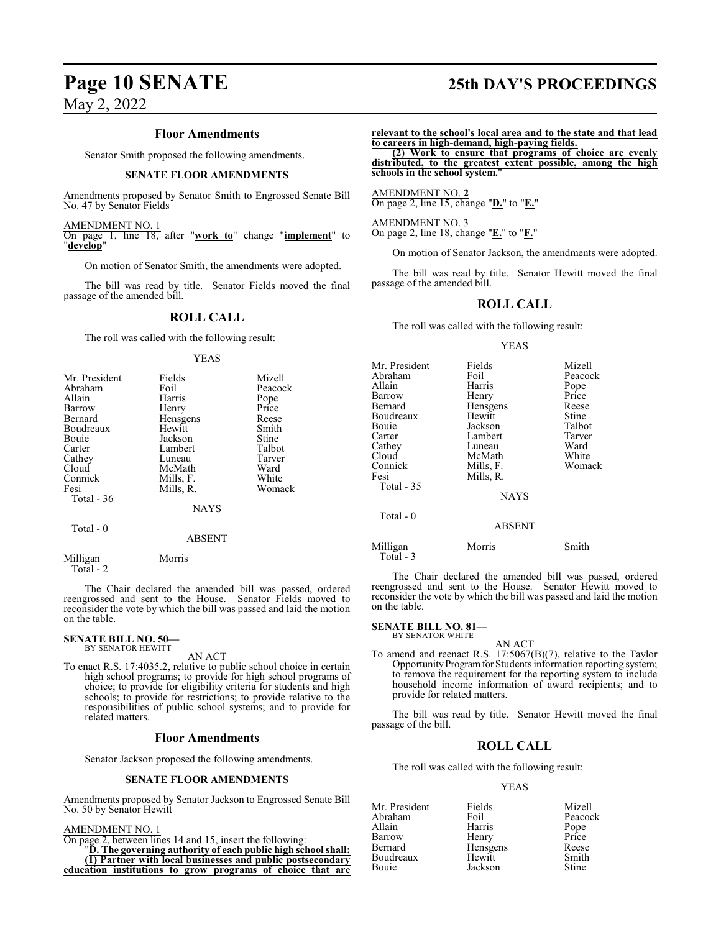#### **Floor Amendments**

Senator Smith proposed the following amendments.

#### **SENATE FLOOR AMENDMENTS**

Amendments proposed by Senator Smith to Engrossed Senate Bill No. 47 by Senator Fields

AMENDMENT NO. 1 On page 1, line 18, after "**work to**" change "**implement**" to "**develop**"

On motion of Senator Smith, the amendments were adopted.

The bill was read by title. Senator Fields moved the final passage of the amended bill.

#### **ROLL CALL**

The roll was called with the following result:

#### YEAS

| Mr. President | Fields      | Mizell  |
|---------------|-------------|---------|
| Abraham       | Foil        | Peacock |
| Allain        | Harris      | Pope    |
| Barrow        | Henry       | Price   |
| Bernard       | Hensgens    | Reese   |
| Boudreaux     | Hewitt      | Smith   |
| Bouie         | Jackson     | Stine   |
| Carter        | Lambert     | Talbot  |
| Cathey        | Luneau      | Tarver  |
| Cloud         | McMath      | Ward    |
| Connick       | Mills, F.   | White   |
| Fesi          | Mills, R.   | Womack  |
| Total - 36    |             |         |
|               | <b>NAYS</b> |         |
|               |             |         |

Total - 0

Total - 2

Milligan Morris

The Chair declared the amended bill was passed, ordered reengrossed and sent to the House. Senator Fields moved to reconsider the vote by which the bill was passed and laid the motion on the table.

ABSENT

**SENATE BILL NO. 50—** BY SENATOR HEWITT

AN ACT

To enact R.S. 17:4035.2, relative to public school choice in certain high school programs; to provide for high school programs of choice; to provide for eligibility criteria for students and high schools; to provide for restrictions; to provide relative to the responsibilities of public school systems; and to provide for related matters.

#### **Floor Amendments**

Senator Jackson proposed the following amendments.

#### **SENATE FLOOR AMENDMENTS**

Amendments proposed by Senator Jackson to Engrossed Senate Bill No. 50 by Senator Hewitt

#### AMENDMENT NO. 1

On page 2, between lines 14 and 15, insert the following:

"**D. The governing authority of each public high school shall: (1) Partner with local businesses and public postsecondary education institutions to grow programs of choice that are**

## **Page 10 SENATE 25th DAY'S PROCEEDINGS**

**relevant to the school's local area and to the state and that lead to careers in high-demand, high-paying fields.**

**(2) Work to ensure that programs of choice are evenly distributed, to the greatest extent possible, among the high schools in the school system.**"

AMENDMENT NO. **2** On page 2, line 15, change "**D.**" to "**E.**"

AMENDMENT NO. 3 On page 2, line 18, change "**E.**" to "**F.**"

On motion of Senator Jackson, the amendments were adopted.

The bill was read by title. Senator Hewitt moved the final passage of the amended bill.

### **ROLL CALL**

The roll was called with the following result:

#### YEAS

| Mr. President<br>Abraham<br>Allain<br>Barrow<br>Bernard<br>Boudreaux<br>Bouie<br>Carter<br>Cathey<br>Cloud<br>Connick<br>Fesi | Fields<br>Foil<br>Harris<br>Henry<br>Hensgens<br>Hewitt<br>Jackson<br>Lambert<br>Luneau<br>McMath<br>Mills, F.<br>Mills, R. | Mizell<br>Peacock<br>Pope<br>Price<br>Reese<br>Stine<br>Talbot<br>Tarver<br>Ward<br>White<br>Womack |
|-------------------------------------------------------------------------------------------------------------------------------|-----------------------------------------------------------------------------------------------------------------------------|-----------------------------------------------------------------------------------------------------|
| Total - 35                                                                                                                    | <b>NAYS</b>                                                                                                                 |                                                                                                     |
| Total - 0                                                                                                                     | <b>ABSENT</b>                                                                                                               |                                                                                                     |
| Milligan                                                                                                                      | Morris                                                                                                                      | Smith                                                                                               |

Total - 3

The Chair declared the amended bill was passed, ordered reengrossed and sent to the House. Senator Hewitt moved to reconsider the vote by which the bill was passed and laid the motion on the table.

#### **SENATE BILL NO. 81—** BY SENATOR WHITE

AN ACT

To amend and reenact R.S. 17:5067(B)(7), relative to the Taylor Opportunity Program for Students information reporting system; to remove the requirement for the reporting system to include household income information of award recipients; and to provide for related matters.

The bill was read by title. Senator Hewitt moved the final passage of the bill.

## **ROLL CALL**

The roll was called with the following result:

#### YEAS

| Mr. President | Fields   | Mizell        |
|---------------|----------|---------------|
| Abraham       | Foil     | Peacock       |
| Allain        | Harris   | Pope<br>Price |
| Barrow        | Henry    |               |
| Bernard       | Hensgens | Reese         |
| Boudreaux     | Hewitt   | Smith         |
| Bouie         | Jackson  | <b>Stine</b>  |
|               |          |               |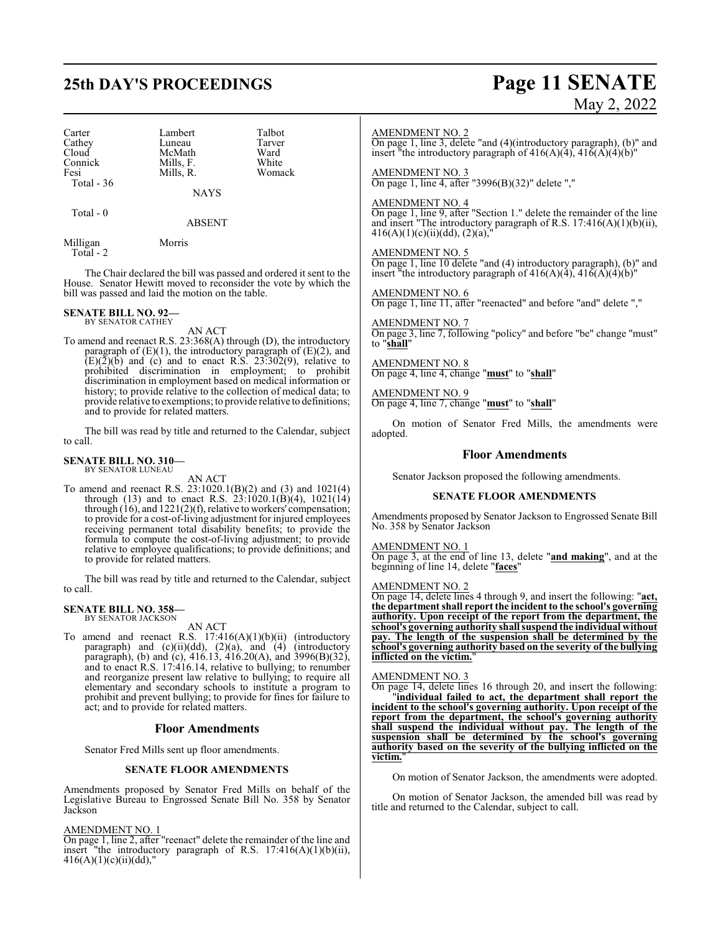Carter Lambert Talbot<br>Cathey Luneau Tarver Cathey Luneau Tarver<br>Cloud McMath Ward Cloud McMath Ward<br>
Connick Mills, F. White Connick Mills, F. White<br>
Fesi Mills, R. Womack Total - 36

Mills, R.

NAYS

ABSENT

Milligan Morris Total - 2

Total - 0

The Chair declared the bill was passed and ordered it sent to the House. Senator Hewitt moved to reconsider the vote by which the bill was passed and laid the motion on the table.

#### **SENATE BILL NO. 92—** BY SENATOR CATHEY

AN ACT

To amend and reenact R.S. 23:368(A) through (D), the introductory paragraph of  $(E)(1)$ , the introductory paragraph of  $(E)(2)$ , and  $(E)(\overline{2})(\overline{b})$  and (c) and to enact R.S. 23:302(9), relative to prohibited discrimination in employment; to prohibit discrimination in employment based on medical information or history; to provide relative to the collection of medical data; to provide relative to exemptions; to provide relative to definitions; and to provide for related matters.

The bill was read by title and returned to the Calendar, subject to call.

#### **SENATE BILL NO. 310—** BY SENATOR LUNEAU

AN ACT

To amend and reenact R.S. 23:1020.1(B)(2) and (3) and 1021(4) through (13) and to enact R.S.  $23:1020.1(B)(4)$ ,  $1021(14)$ through  $(16)$ , and  $1221(2)(f)$ , relative to workers' compensation; to provide for a cost-of-living adjustment for injured employees receiving permanent total disability benefits; to provide the formula to compute the cost-of-living adjustment; to provide relative to employee qualifications; to provide definitions; and to provide for related matters.

The bill was read by title and returned to the Calendar, subject to call.

#### **SENATE BILL NO. 358—** BY SENATOR JACKSON

AN ACT

To amend and reenact R.S.  $17:416(A)(1)(b)(ii)$  (introductory paragraph) and (c)(ii)(dd), (2)(a), and (4) (introductory paragraph), (b) and (c), 416.13, 416.20(A), and 3996(B)(32), and to enact R.S. 17:416.14, relative to bullying; to renumber and reorganize present law relative to bullying; to require all elementary and secondary schools to institute a program to prohibit and prevent bullying; to provide for fines for failure to act; and to provide for related matters.

### **Floor Amendments**

Senator Fred Mills sent up floor amendments.

### **SENATE FLOOR AMENDMENTS**

Amendments proposed by Senator Fred Mills on behalf of the Legislative Bureau to Engrossed Senate Bill No. 358 by Senator Jackson

#### AMENDMENT NO. 1

On page 1, line 2, after "reenact" delete the remainder of the line and insert "the introductory paragraph of R.S.  $17:416(A)(1)(b)(ii)$ ,  $416(A)(1)(c)(ii)(dd)$ ,"

## AMENDMENT NO. 2

On page 1, line 3, delete "and (4)(introductory paragraph), (b)" and insert "the introductory paragraph of  $416(A)(4)$ ,  $416(A)(4)(b)$ "

### AMENDMENT NO. 3

On page 1, line 4, after "3996(B)(32)" delete ","

#### AMENDMENT NO. 4

On page 1, line 9, after "Section 1." delete the remainder of the line and insert "The introductory paragraph of R.S. 17:416(A)(1)(b)(ii),  $416(A)(1)(c)(ii)(dd), (2)(a),''$ 

#### AMENDMENT NO. 5

On page 1, line 10 delete "and (4) introductory paragraph), (b)" and insert "the introductory paragraph of  $416(A)(4)$ ,  $416(A)(4)(b)$ "

#### AMENDMENT NO. 6

On page 1, line 11, after "reenacted" and before "and" delete ","

AMENDMENT NO. 7 On page 3, line 7, following "policy" and before "be" change "must" to "**shall**"

AMENDMENT NO. 8 On page 4, line 4, change "**must**" to "**shall**"

AMENDMENT NO. 9 On page 4, line 7, change "**must**" to "**shall**"

On motion of Senator Fred Mills, the amendments were adopted.

#### **Floor Amendments**

Senator Jackson proposed the following amendments.

#### **SENATE FLOOR AMENDMENTS**

Amendments proposed by Senator Jackson to Engrossed Senate Bill No. 358 by Senator Jackson

#### AMENDMENT NO. 1

On page 3, at the end of line 13, delete "**and making**", and at the beginning of line 14, delete "**faces**"

#### AMENDMENT NO. 2

On page 14, delete lines 4 through 9, and insert the following: "**act, the department shall report the incident to the school's governing authority. Upon receipt of the report from the department, the school's governing authority shall suspend the individual without pay. The length of the suspension shall be determined by the school's governing authority based on the severity of the bullying inflicted on the victim.**"

#### AMENDMENT NO. 3

On page 14, delete lines 16 through 20, and insert the following: "**individual failed to act, the department shall report the incident to the school's governing authority. Upon receipt of the report from the department, the school's governing authority shall suspend the individual without pay. The length of the suspension shall be determined by the school's governing authority based on the severity of the bullying inflicted on the victim.**"

On motion of Senator Jackson, the amendments were adopted.

On motion of Senator Jackson, the amended bill was read by title and returned to the Calendar, subject to call.

# **25th DAY'S PROCEEDINGS Page 11 SENATE** May 2, 2022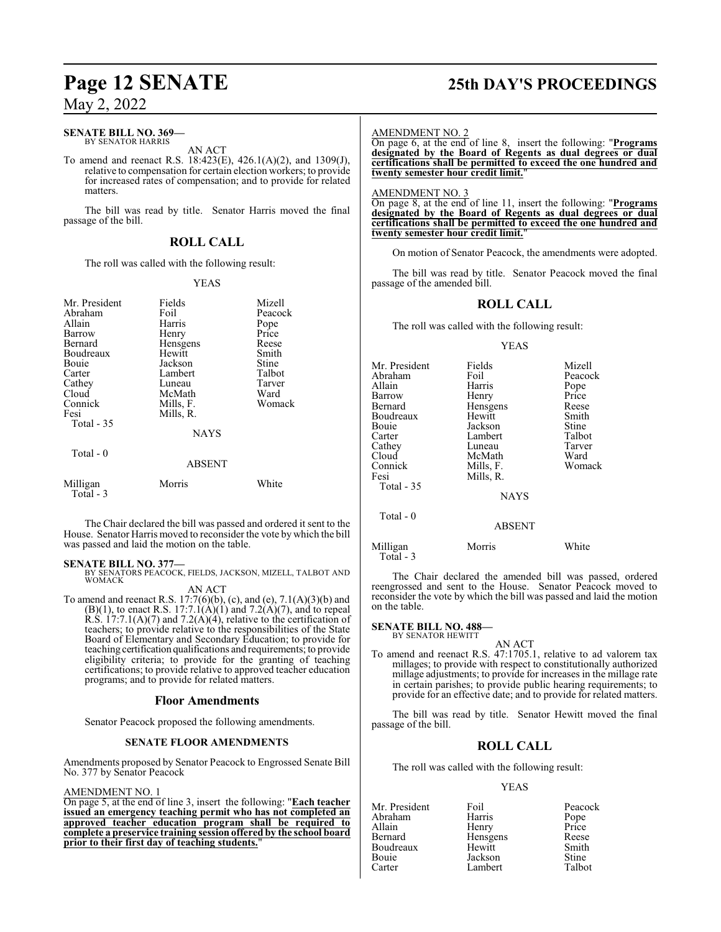### **SENATE BILL NO. 369—**

BY SENATOR HARRIS AN ACT

To amend and reenact R.S. 18:423(E), 426.1(A)(2), and 1309(J), relative to compensation for certain election workers; to provide for increased rates of compensation; and to provide for related matters.

The bill was read by title. Senator Harris moved the final passage of the bill.

### **ROLL CALL**

The roll was called with the following result:

#### YEAS

| Mr. President<br>Abraham<br>Allain<br><b>Barrow</b><br>Bernard<br>Boudreaux<br>Bouie<br>Carter<br>Cathey<br>Cloud<br>Connick<br>Fesi<br>Total $-35$<br>Total $-0$ | Fields<br>Foil<br>Harris<br>Henry<br>Hensgens<br>Hewitt<br>Jackson<br>Lambert<br>Luneau<br>McMath<br>Mills, F.<br>Mills, R.<br><b>NAYS</b><br><b>ABSENT</b> | Mizell<br>Peacock<br>Pope<br>Price<br>Reese<br>Smith<br>Stine<br>Talbot<br>Tarver<br>Ward<br>Womack |
|-------------------------------------------------------------------------------------------------------------------------------------------------------------------|-------------------------------------------------------------------------------------------------------------------------------------------------------------|-----------------------------------------------------------------------------------------------------|
| Milligan                                                                                                                                                          | Morris                                                                                                                                                      | White                                                                                               |
| Total - 3                                                                                                                                                         |                                                                                                                                                             |                                                                                                     |

The Chair declared the bill was passed and ordered it sent to the House. Senator Harris moved to reconsider the vote by which the bill was passed and laid the motion on the table.

**SENATE BILL NO. 377—** BY SENATORS PEACOCK, FIELDS, JACKSON, MIZELL, TALBOT AND **WOMACK** 

AN ACT To amend and reenact R.S. 17:7(6)(b), (c), and (e), 7.1(A)(3)(b) and  $(B)(1)$ , to enact R.S. 17:7.1(A)(1) and 7.2(A)(7), and to repeal R.S.  $17:7.1(A)(7)$  and  $7.2(A)(4)$ , relative to the certification of teachers; to provide relative to the responsibilities of the State Board of Elementary and Secondary Education; to provide for teaching certification qualifications and requirements; to provide eligibility criteria; to provide for the granting of teaching certifications; to provide relative to approved teacher education programs; and to provide for related matters.

#### **Floor Amendments**

Senator Peacock proposed the following amendments.

#### **SENATE FLOOR AMENDMENTS**

Amendments proposed by Senator Peacock to Engrossed Senate Bill No. 377 by Senator Peacock

#### AMENDMENT NO. 1

On page 5, at the end of line 3, insert the following: "**Each teacher issued an emergency teaching permit who has not completed an approved teacher education program shall be required to complete a preservice training session offered by the school board prior to their first day of teaching students.**"

# **Page 12 SENATE 25th DAY'S PROCEEDINGS**

#### AMENDMENT NO. 2

On page 6, at the end of line 8, insert the following: "**Programs designated by the Board of Regents as dual degrees or dual certifications shall be permitted to exceed the one hundred and twenty semester hour credit limit.**"

#### AMENDMENT NO. 3

On page 8, at the end of line 11, insert the following: "**Programs designated by the Board of Regents as dual degrees or dual certifications shall be permitted to exceed the one hundred and twenty semester hour credit limit.** 

On motion of Senator Peacock, the amendments were adopted.

The bill was read by title. Senator Peacock moved the final passage of the amended bill.

## **ROLL CALL**

The roll was called with the following result:

#### YEAS

| Mr. President<br>Abraham<br>Allain<br>Barrow<br>Bernard | Fields<br>Foil<br>Harris<br>Henry<br>Hensgens       | Mizell<br>Peacock<br>Pope<br>Price<br>Reese |
|---------------------------------------------------------|-----------------------------------------------------|---------------------------------------------|
| Boudreaux                                               | Hewitt                                              | Smith                                       |
| Bouie<br>Carter<br>Cathey<br>Cloud<br>Connick           | Jackson<br>Lambert<br>Luneau<br>McMath<br>Mills, F. | Stine<br>Talbot<br>Tarver<br>Ward<br>Womack |
| Fesi<br>Total - 35                                      | Mills, R.                                           |                                             |
|                                                         | <b>NAYS</b>                                         |                                             |
| Total - 0                                               | <b>ABSENT</b>                                       |                                             |
| <b>A</b> 5'11'                                          | $\cdots$                                            | <b>TT 71 .</b>                              |

Milligan Morris White Total - 3

The Chair declared the amended bill was passed, ordered reengrossed and sent to the House. Senator Peacock moved to reconsider the vote by which the bill was passed and laid the motion on the table.

#### **SENATE BILL NO. 488—** BY SENATOR HEWITT

#### AN ACT

To amend and reenact R.S. 47:1705.1, relative to ad valorem tax millages; to provide with respect to constitutionally authorized millage adjustments; to provide for increases in the millage rate in certain parishes; to provide public hearing requirements; to provide for an effective date; and to provide for related matters.

The bill was read by title. Senator Hewitt moved the final passage of the bill.

#### **ROLL CALL**

The roll was called with the following result:

#### YEAS

| Foil     | Peacock       |
|----------|---------------|
| Harris   | Pope<br>Price |
| Henry    |               |
| Hensgens | Reese         |
| Hewitt   | Smith         |
| Jackson  | <b>Stine</b>  |
| Lambert  | Talbot        |
|          |               |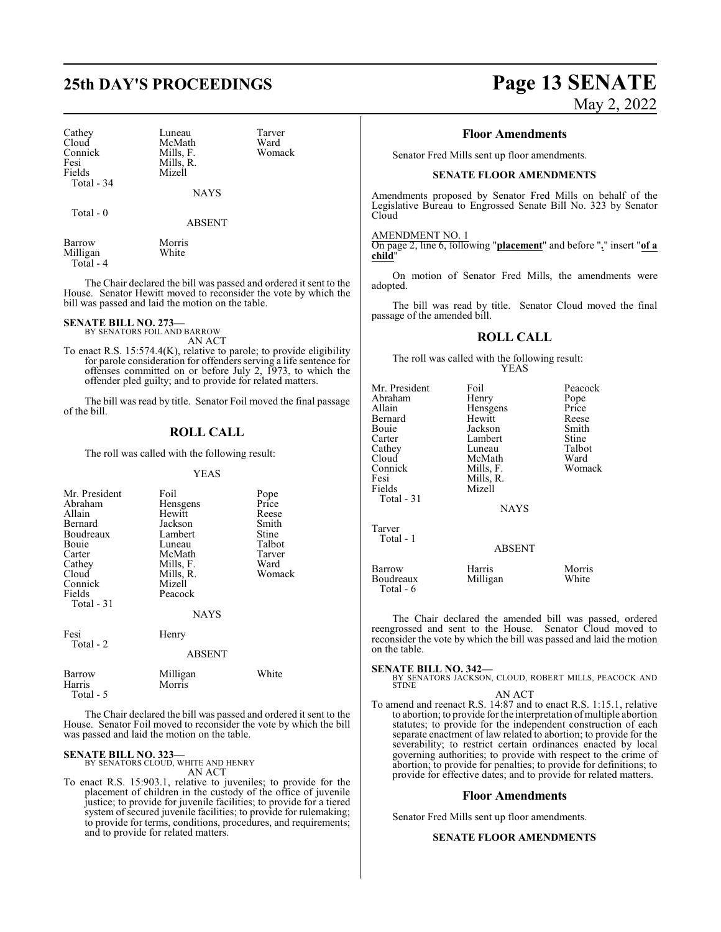Cathey Luneau Tarver<br>Cloud McMath Ward Cloud McMath Ward<br>
Connick Mills. F. Womack Connick Mills, F.<br>Fesi Mills R Fesi Mills, R.<br>Fields Mizell Total - 34

NAYS

Total - 0

ABSENT

Barrow Morris<br>
Milligan White Milligan Total - 4

Mizell

The Chair declared the bill was passed and ordered it sent to the House. Senator Hewitt moved to reconsider the vote by which the bill was passed and laid the motion on the table.

#### **SENATE BILL NO. 273—**

BY SENATORS FOIL AND BARROW AN ACT

To enact R.S. 15:574.4(K), relative to parole; to provide eligibility for parole consideration for offenders serving a life sentence for offenses committed on or before July 2, 1973, to which the offender pled guilty; and to provide for related matters.

The bill was read by title. Senator Foil moved the final passage of the bill.

### **ROLL CALL**

The roll was called with the following result:

#### YEAS

| Mr. President<br>Abraham<br>Allain<br>Bernard<br>Boudreaux<br>Bouie<br>Carter<br>Cathey<br>Cloud<br>Connick<br>Fields<br>Total - 31 | Foil<br>Hensgens<br>Hewitt<br>Jackson<br>Lambert<br>Luneau<br>McMath<br>Mills, F.<br>Mills, R.<br>Mizell<br>Peacock<br><b>NAYS</b> | Pope<br>Price<br>Reese<br>Smith<br>Stine<br>Talbot<br>Tarver<br>Ward<br>Womack |
|-------------------------------------------------------------------------------------------------------------------------------------|------------------------------------------------------------------------------------------------------------------------------------|--------------------------------------------------------------------------------|
| Fesi<br>Total - 2                                                                                                                   | Henry<br><b>ABSENT</b>                                                                                                             |                                                                                |
| Barrow<br>Harris                                                                                                                    | Milligan<br>Morris                                                                                                                 | White                                                                          |

Total - 5

The Chair declared the bill was passed and ordered it sent to the House. Senator Foil moved to reconsider the vote by which the bill was passed and laid the motion on the table.

#### **SENATE BILL NO. 323—**

BY SENATORS CLOUD, WHITE AND HENRY AN ACT

To enact R.S. 15:903.1, relative to juveniles; to provide for the placement of children in the custody of the office of juvenile justice; to provide for juvenile facilities; to provide for a tiered system of secured juvenile facilities; to provide for rulemaking; to provide for terms, conditions, procedures, and requirements; and to provide for related matters.

# **25th DAY'S PROCEEDINGS Page 13 SENATE**

May 2, 2022

#### **Floor Amendments**

Senator Fred Mills sent up floor amendments.

#### **SENATE FLOOR AMENDMENTS**

Amendments proposed by Senator Fred Mills on behalf of the Legislative Bureau to Engrossed Senate Bill No. 323 by Senator Cloud

#### AMENDMENT NO. 1

On page 2, line 6, following "**placement**" and before "**.**" insert "**of a child**"

On motion of Senator Fred Mills, the amendments were adopted.

The bill was read by title. Senator Cloud moved the final passage of the amended bill.

#### **ROLL CALL**

The roll was called with the following result: YEAS

| Mr. President<br>Abraham<br>Allain<br>Bernard<br>Bouie<br>Carter<br>Cathey<br>Cloud<br>Connick<br>Fesi<br>Fields<br>Total - 31 | Foil<br>Henry<br>Hensgens<br>Hewitt<br>Jackson<br>Lambert<br>Luneau<br>McMath<br>Mills, F.<br>Mills, R.<br>Mizell<br><b>NAYS</b> | Peacock<br>Pope<br>Price<br>Reese<br>Smith<br>Stine<br>Talbot<br>Ward<br>Womack |
|--------------------------------------------------------------------------------------------------------------------------------|----------------------------------------------------------------------------------------------------------------------------------|---------------------------------------------------------------------------------|
| Tarver<br>Total - 1                                                                                                            | <b>ABSENT</b>                                                                                                                    |                                                                                 |
| Barrow<br>Boudreaux<br>Total - 6                                                                                               | Harris<br>Milligan                                                                                                               | Morris<br>White                                                                 |

The Chair declared the amended bill was passed, ordered reengrossed and sent to the House. Senator Cloud moved to reconsider the vote by which the bill was passed and laid the motion on the table.

**SENATE BILL NO. 342—** BY SENATORS JACKSON, CLOUD, ROBERT MILLS, PEACOCK AND STINE

#### AN ACT

To amend and reenact R.S. 14:87 and to enact R.S. 1:15.1, relative to abortion; to provide for the interpretation of multiple abortion statutes; to provide for the independent construction of each separate enactment of law related to abortion; to provide for the severability; to restrict certain ordinances enacted by local governing authorities; to provide with respect to the crime of abortion; to provide for penalties; to provide for definitions; to provide for effective dates; and to provide for related matters.

#### **Floor Amendments**

Senator Fred Mills sent up floor amendments.

#### **SENATE FLOOR AMENDMENTS**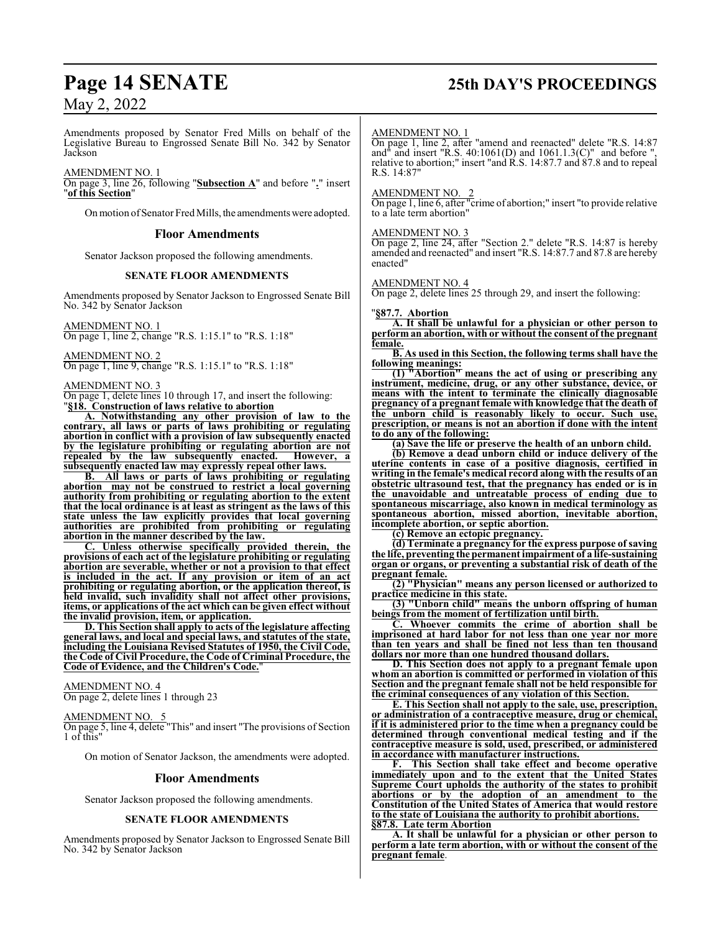Amendments proposed by Senator Fred Mills on behalf of the Legislative Bureau to Engrossed Senate Bill No. 342 by Senator Jackson

#### AMENDMENT NO. 1

On page 3, line 26, following "**Subsection A**" and before "**.**" insert "**of this Section**"

On motion of Senator Fred Mills, the amendments were adopted.

#### **Floor Amendments**

Senator Jackson proposed the following amendments.

#### **SENATE FLOOR AMENDMENTS**

Amendments proposed by Senator Jackson to Engrossed Senate Bill No. 342 by Senator Jackson

AMENDMENT NO. 1 On page 1, line 2, change "R.S. 1:15.1" to "R.S. 1:18"

AMENDMENT NO. 2 On page 1, line 9, change "R.S. 1:15.1" to "R.S. 1:18"

AMENDMENT NO. 3

On page 1, delete lines 10 through 17, and insert the following: "**§18. Construction of laws relative to abortion**

**A. Notwithstanding any other provision of law to the contrary, all laws or parts of laws prohibiting or regulating abortion in conflict with a provision of law subsequently enacted by the legislature prohibiting or regulating abortion are not repealed by the law subsequently enacted. However, a subsequently enacted law may expressly repeal other laws.**

**B. All laws or parts of laws prohibiting or regulating abortion may not be construed to restrict a local governing authority from prohibiting or regulating abortion to the extent that the local ordinance is at least as stringent as the laws of this state unless the law explicitly provides that local governing authorities are prohibited from prohibiting or regulating abortion in the manner described by the law.**

**C. Unless otherwise specifically provided therein, the provisions of each act of the legislature prohibiting or regulating abortion are severable, whether or not a provision to that effect is included in the act. If any provision or item of an act prohibiting or regulating abortion, or the application thereof, is held invalid, such invalidity shall not affect other provisions, items, or applications of the act which can be given effect without the invalid provision, item, or application.** 

**D. This Section shall apply to acts of the legislature affecting general laws, and local and special laws, and statutes of the state, including the Louisiana Revised Statutes of 1950, the Civil Code, the Code of Civil Procedure, the Code of Criminal Procedure, the Code of Evidence, and the Children's Code.**"

AMENDMENT NO. 4

On page 2, delete lines 1 through 23

#### AMENDMENT NO. 5

On page 5, line 4, delete "This" and insert "The provisions of Section 1 of this"

On motion of Senator Jackson, the amendments were adopted.

#### **Floor Amendments**

Senator Jackson proposed the following amendments.

#### **SENATE FLOOR AMENDMENTS**

Amendments proposed by Senator Jackson to Engrossed Senate Bill No. 342 by Senator Jackson

# **Page 14 SENATE 25th DAY'S PROCEEDINGS**

#### AMENDMENT NO. 1

On page 1, line 2, after "amend and reenacted" delete "R.S. 14:87 and<sup> $\hat{\theta}$ </sup> and insert "R.S. 40:1061(D) and 1061.1.3(C)" and before ", relative to abortion;" insert "and R.S. 14:87.7 and 87.8 and to repeal R.S. 14:87"

#### AMENDMENT NO. 2

On page 1, line 6, after "crime of abortion;" insert "to provide relative to a late term abortion"

#### AMENDMENT NO. 3

On page 2, line 24, after "Section 2." delete "R.S. 14:87 is hereby amended and reenacted" and insert "R.S. 14:87.7 and 87.8 are hereby enacted"

#### AMENDMENT NO. 4

On page 2, delete lines 25 through 29, and insert the following:

#### "**§87.7. Abortion**

**A. It shall be unlawful for a physician or other person to perform an abortion, with or without the consent of the pregnant female.**

**B. As used in this Section, the following terms shall have the following meanings:**

**(1) "Abortion" means the act of using or prescribing any instrument, medicine, drug, or any other substance, device, or means with the intent to terminate the clinically diagnosable pregnancy of a pregnant female with knowledge that the death of the unborn child is reasonably likely to occur. Such use, prescription, or means is not an abortion if done with the intent to do any of the following:**

**(a) Save the life or preserve the health of an unborn child.**

**(b) Remove a dead unborn child or induce delivery of the uterine contents in case of a positive diagnosis, certified in writing in the female's medical record along with the results of an obstetric ultrasound test, that the pregnancy has ended or is in the unavoidable and untreatable process of ending due to spontaneous miscarriage, also known in medical terminology as spontaneous abortion, missed abortion, inevitable abortion, incomplete abortion, or septic abortion.**

**(c) Remove an ectopic pregnancy.**

**(d) Terminate a pregnancy for the express purpose of saving the life, preventing the permanent impairment of a life-sustaining organ or organs, or preventing a substantial risk of death of the pregnant female.**

**(2) "Physician" means any person licensed or authorized to practice medicine in this state.**

**(3) "Unborn child" means the unborn offspring of human beings from the moment of fertilization until birth.**

**C. Whoever commits the crime of abortion shall be imprisoned at hard labor for not less than one year nor more than ten years and shall be fined not less than ten thousand dollars nor more than one hundred thousand dollars.**

**D. This Section does not apply to a pregnant female upon whom an abortion is committed or performed in violation of this Section and the pregnant female shall not be held responsible for the criminal consequences of any violation of this Section.**

**E. This Section shall not apply to the sale, use, prescription, or administration of a contraceptive measure, drug or chemical, if it is administered prior to the time when a pregnancy could be determined through conventional medical testing and if the contraceptive measure is sold, used, prescribed, or administered in accordance with manufacturer instructions.**

**F. This Section shall take effect and become operative immediately upon and to the extent that the United States Supreme Court upholds the authority of the states to prohibit abortions or by the adoption of an amendment to the Constitution of the United States of America that would restore to the state of Louisiana the authority to prohibit abortions. §87.8. Late term Abortion**

**A. It shall be unlawful for a physician or other person to perform a late term abortion, with or without the consent of the pregnant female**.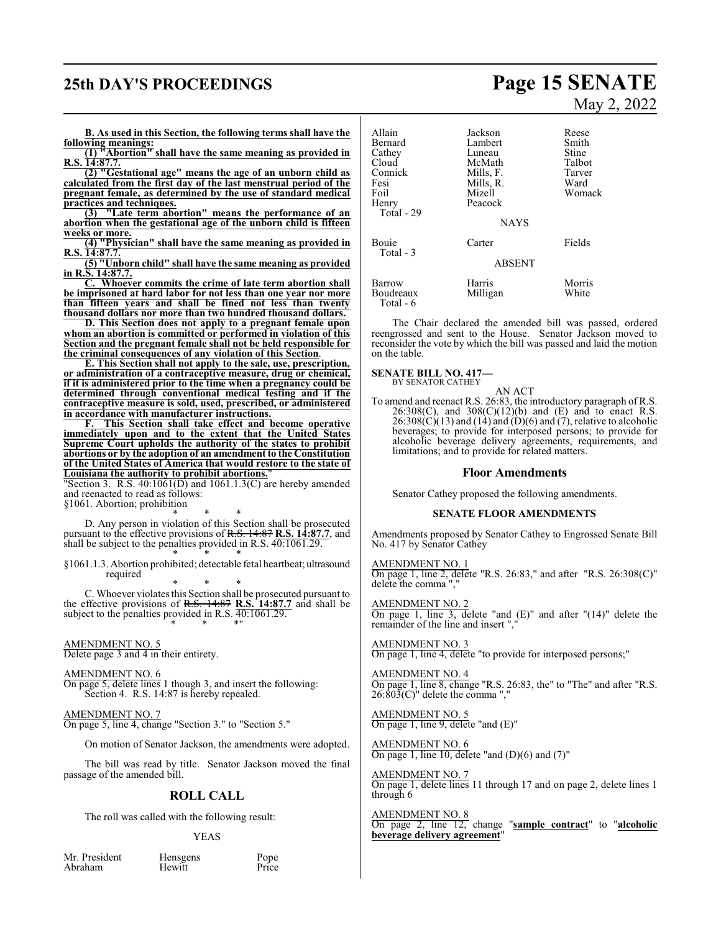# **25th DAY'S PROCEEDINGS Page 15 SENATE**

**B. As used in this Section, the following terms shall have the following meanings:**

**(1) "Abortion" shall have the same meaning as provided in R.S. 14:87.7.**

**(2) "Gestational age" means the age of an unborn child as calculated from the first day of the last menstrual period of the pregnant female, as determined by the use of standard medical practices and techniques.**

**(3) "Late term abortion" means the performance of an abortion when the gestational age of the unborn child is fifteen weeks or more.**

**(4) "Physician" shall have the same meaning as provided in R.S. 14:87.7.**

**(5) "Unborn child" shall have the same meaning as provided in R.S. 14:87.7.**

**C. Whoever commits the crime of late term abortion shall be imprisoned at hard labor for not less than one year nor more than fifteen years and shall be fined not less than twenty thousand dollars nor more than two hundred thousand dollars.**

**D. This Section does not apply to a pregnant female upon whom an abortion is committed or performed in violation of this Section and the pregnant female shall not be held responsible for the criminal consequences of any violation of this Section**.

**E. This Section shall not apply to the sale, use, prescription, or administration of a contraceptive measure, drug or chemical, if it is administered prior to the time when a pregnancy could be determined through conventional medical testing and if the contraceptive measure is sold, used, prescribed, or administered in accordance with manufacturer instructions.**

**F. This Section shall take effect and become operative immediately upon and to the extent that the United States Supreme Court upholds the authority of the states to prohibit abortions or by the adoption of an amendment to the Constitution of the United States of America that would restore to the state of Louisiana the authority to prohibit abortions.**"

Section 3. R.S.  $40:1061(D)$  and  $1061.1.3(C)$  are hereby amended and reenacted to read as follows:

§1061. Abortion; prohibition

\* \* \* D. Any person in violation of this Section shall be prosecuted pursuant to the effective provisions of R.S. 14:87 **R.S. 14:87.7**, and shall be subject to the penalties provided in R.S. 40:1061.29. \* \* \*

§1061.1.3. Abortion prohibited; detectable fetal heartbeat; ultrasound required

\* \* \* C. Whoever violates this Section shall be prosecuted pursuant to the effective provisions of R.S. 14:87 **R.S. 14:87.7** and shall be subject to the penalties provided in R.S. 40:1061.29. \* \* \*"

AMENDMENT NO. 5

Delete page 3 and 4 in their entirety.

AMENDMENT NO. 6

On page 5, delete lines 1 though 3, and insert the following: Section 4. R.S. 14:87 is hereby repealed.

#### AMENDMENT NO. 7

On page 5, line 4, change "Section 3." to "Section 5."

On motion of Senator Jackson, the amendments were adopted.

The bill was read by title. Senator Jackson moved the final passage of the amended bill.

### **ROLL CALL**

The roll was called with the following result:

#### YEAS

Mr. President Hensgens Pope<br>Abraham Hewitt Price Abraham

# May 2, 2022

| Allain<br>Bernard<br>Cathey<br>Cloud<br>Connick<br>Fesi<br>Foil<br>Henry<br>Total - 29 | Jackson<br>Lambert<br>Luneau<br>McMath<br>Mills, F.<br>Mills, R.<br>Mizell<br>Peacock<br><b>NAYS</b> | Reese<br>Smith<br>Stine<br>Talbot<br>Tarver<br>Ward<br>Womack |
|----------------------------------------------------------------------------------------|------------------------------------------------------------------------------------------------------|---------------------------------------------------------------|
| Bouie<br>Total - 3                                                                     | Carter<br><b>ABSENT</b>                                                                              | Fields                                                        |
| Barrow<br>Boudreaux<br>Total - 6                                                       | Harris<br>Milligan                                                                                   | Morris<br>White                                               |

The Chair declared the amended bill was passed, ordered reengrossed and sent to the House. Senator Jackson moved to reconsider the vote by which the bill was passed and laid the motion on the table.

#### **SENATE BILL NO. 417—** BY SENATOR CATHEY

AN ACT

To amend and reenact R.S. 26:83, the introductory paragraph of R.S. 26:308(C), and 308(C)(12)(b) and (E) and to enact R.S.  $26:308(\text{C})(13)$  and  $(14)$  and  $(\text{D})(6)$  and  $(\text{7})$ , relative to alcoholic beverages; to provide for interposed persons; to provide for alcoholic beverage delivery agreements, requirements, and limitations; and to provide for related matters.

#### **Floor Amendments**

Senator Cathey proposed the following amendments.

#### **SENATE FLOOR AMENDMENTS**

Amendments proposed by Senator Cathey to Engrossed Senate Bill No. 417 by Senator Cathey

AMENDMENT NO. 1 On page 1, line 2, delete "R.S. 26:83," and after "R.S. 26:308(C)" delete the comma ","

AMENDMENT NO. 2 On page 1, line 3, delete "and (E)" and after "(14)" delete the remainder of the line and insert ",

AMENDMENT NO. 3 On page 1, line 4, delete "to provide for interposed persons;"

AMENDMENT NO. 4 On page 1, line 8, change "R.S. 26:83, the" to "The" and after "R.S.  $26:803(C)$ " delete the comma ","

AMENDMENT NO. 5 On page 1, line 9, delete "and (E)"

AMENDMENT NO. 6 On page 1, line 10, delete "and (D)(6) and (7)"

AMENDMENT NO. 7 On page 1, delete lines 11 through 17 and on page 2, delete lines 1 through 6

AMENDMENT NO. 8 On page 2, line 12, change "**sample contract**" to "**alcoholic beverage delivery agreement**"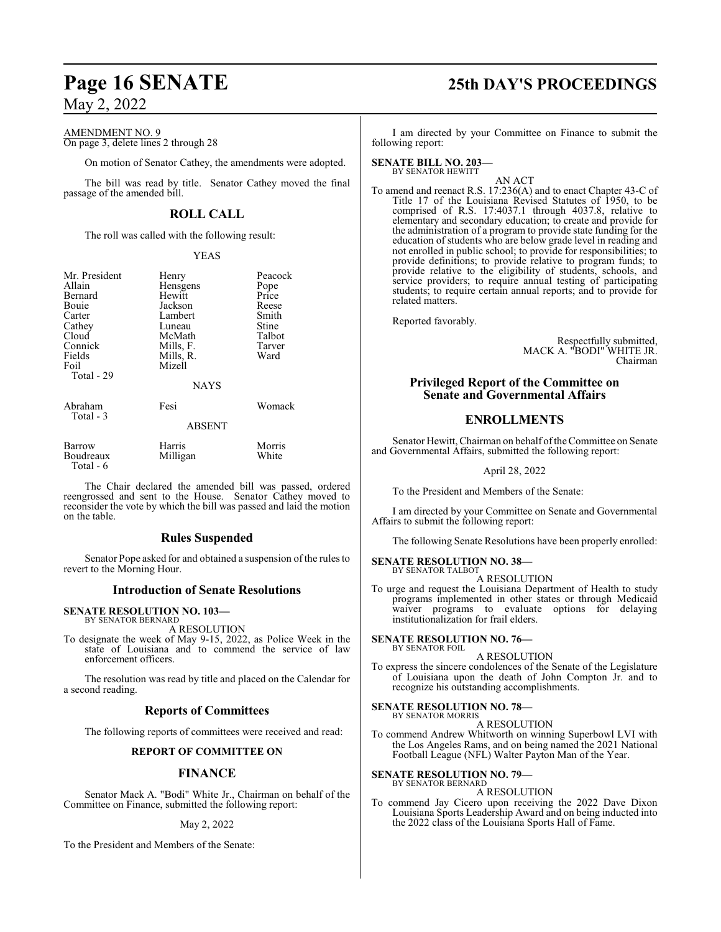AMENDMENT NO. 9

On page 3, delete lines 2 through 28

On motion of Senator Cathey, the amendments were adopted.

The bill was read by title. Senator Cathey moved the final passage of the amended bill.

## **ROLL CALL**

The roll was called with the following result:

#### YEAS

| Mr. President<br>Allain<br>Bernard<br>Bouie<br>Carter<br>Cathey<br>Cloud<br>Connick<br>Fields<br>Foil<br>Total - 29 | Henry<br>Hensgens<br>Hewitt<br>Jackson<br>Lambert<br>Luneau<br>McMath<br>Mills, F.<br>Mills, R.<br>Mizell<br><b>NAYS</b> | Peacock<br>Pope<br>Price<br>Reese<br>Smith<br>Stine<br>Talbot<br>Tarver<br>Ward |
|---------------------------------------------------------------------------------------------------------------------|--------------------------------------------------------------------------------------------------------------------------|---------------------------------------------------------------------------------|
| Abraham<br>Total - 3                                                                                                | Fesi<br><b>ABSENT</b>                                                                                                    | Womack                                                                          |
| Barrow<br>Boudreaux<br>Total - 6                                                                                    | Harris<br>Milligan                                                                                                       | Morris<br>White                                                                 |

The Chair declared the amended bill was passed, ordered reengrossed and sent to the House. Senator Cathey moved to reconsider the vote by which the bill was passed and laid the motion on the table.

### **Rules Suspended**

Senator Pope asked for and obtained a suspension of the rules to revert to the Morning Hour.

### **Introduction of Senate Resolutions**

#### **SENATE RESOLUTION NO. 103—** BY SENATOR BERNARD

A RESOLUTION

To designate the week of May 9-15, 2022, as Police Week in the state of Louisiana and to commend the service of law enforcement officers.

The resolution was read by title and placed on the Calendar for a second reading.

### **Reports of Committees**

The following reports of committees were received and read:

#### **REPORT OF COMMITTEE ON**

#### **FINANCE**

Senator Mack A. "Bodi" White Jr., Chairman on behalf of the Committee on Finance, submitted the following report:

May 2, 2022

To the President and Members of the Senate:

# **Page 16 SENATE 25th DAY'S PROCEEDINGS**

I am directed by your Committee on Finance to submit the following report:

#### **SENATE BILL NO. 203—** BY SENATOR HEWITT

AN ACT

To amend and reenact R.S. 17:236(A) and to enact Chapter 43-C of Title 17 of the Louisiana Revised Statutes of 1950, to be comprised of R.S. 17:4037.1 through 4037.8, relative to elementary and secondary education; to create and provide for the administration of a program to provide state funding for the education of students who are below grade level in reading and not enrolled in public school; to provide for responsibilities; to provide definitions; to provide relative to program funds; to provide relative to the eligibility of students, schools, and service providers; to require annual testing of participating students; to require certain annual reports; and to provide for related matters.

Reported favorably.

Respectfully submitted, MACK A. "BODI" WHITE JR. Chairman

### **Privileged Report of the Committee on Senate and Governmental Affairs**

## **ENROLLMENTS**

Senator Hewitt, Chairman on behalf of the Committee on Senate and Governmental Affairs, submitted the following report:

April 28, 2022

To the President and Members of the Senate:

I am directed by your Committee on Senate and Governmental Affairs to submit the following report:

The following Senate Resolutions have been properly enrolled:

#### **SENATE RESOLUTION NO. 38—** BY SENATOR TALBOT

#### A RESOLUTION

To urge and request the Louisiana Department of Health to study programs implemented in other states or through Medicaid waiver programs to evaluate options for delaying institutionalization for frail elders.

#### **SENATE RESOLUTION NO. 76—** BY SENATOR FOIL

#### A RESOLUTION

To express the sincere condolences of the Senate of the Legislature of Louisiana upon the death of John Compton Jr. and to recognize his outstanding accomplishments.

#### **SENATE RESOLUTION NO. 78—** BY SENATOR MORRIS

A RESOLUTION

To commend Andrew Whitworth on winning Superbowl LVI with the Los Angeles Rams, and on being named the 2021 National Football League (NFL) Walter Payton Man of the Year.

# **SENATE RESOLUTION NO. 79—** BY SENATOR BERNARD

A RESOLUTION

To commend Jay Cicero upon receiving the 2022 Dave Dixon Louisiana Sports Leadership Award and on being inducted into the 2022 class of the Louisiana Sports Hall of Fame.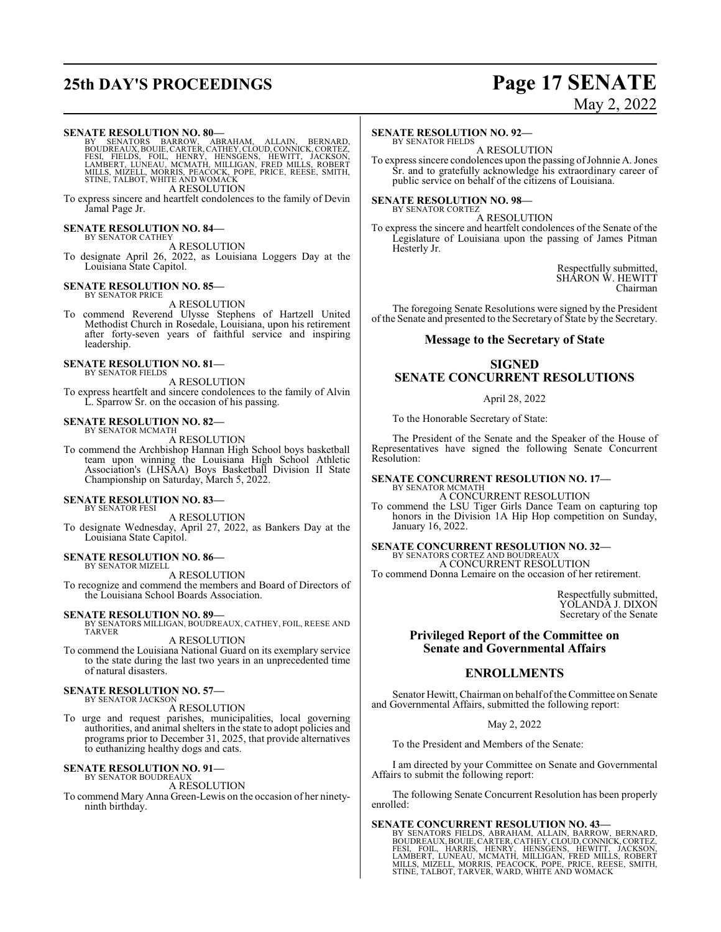# **25th DAY'S PROCEEDINGS Page 17 SENATE**

# May 2, 2022

#### **SENATE RESOLUTION NO. 80—**

BY SENATORS BARROW, ABRAHAM, ALLAIN, BERNARD,<br>BOUDREAUX,BOUIE,CARTER,CATHEY,CLOUD,CONNICK,CORTEZ,<br>FESI, FIELDS, FOIL, HENRY, HENSGENS, HEWITT, JACKSON,<br>LAMBERT,LUNEAU,MCNATH,MILLIGAN,FRED\_MILLS,ROBERT<br>MILLS,MIZELL,MORRIS,P A RESOLUTION

To express sincere and heartfelt condolences to the family of Devin Jamal Page Jr.

#### **SENATE RESOLUTION NO. 84—** BY SENATOR CATHEY

A RESOLUTION

To designate April 26, 2022, as Louisiana Loggers Day at the Louisiana State Capitol.

#### **SENATE RESOLUTION NO. 85—** BY SENATOR PRICE

A RESOLUTION

To commend Reverend Ulysse Stephens of Hartzell United Methodist Church in Rosedale, Louisiana, upon his retirement after forty-seven years of faithful service and inspiring leadership.

## **SENATE RESOLUTION NO. 81—** BY SENATOR FIELDS

A RESOLUTION

To express heartfelt and sincere condolences to the family of Alvin L. Sparrow Sr. on the occasion of his passing.

#### **SENATE RESOLUTION NO. 82—** BY SENATOR MCMATH

A RESOLUTION

To commend the Archbishop Hannan High School boys basketball team upon winning the Louisiana High School Athletic Association's (LHSAA) Boys Basketball Division II State Championship on Saturday, March 5, 2022.

#### **SENATE RESOLUTION NO. 83—** BY SENATOR FESI

A RESOLUTION

To designate Wednesday, April 27, 2022, as Bankers Day at the Louisiana State Capitol.

#### **SENATE RESOLUTION NO. 86—** BY SENATOR MIZELL

A RESOLUTION

To recognize and commend the members and Board of Directors of the Louisiana School Boards Association.

**SENATE RESOLUTION NO. 89—** BY SENATORS MILLIGAN, BOUDREAUX, CATHEY, FOIL, REESE AND TARVER

A RESOLUTION

To commend the Louisiana National Guard on its exemplary service to the state during the last two years in an unprecedented time of natural disasters.

#### **SENATE RESOLUTION NO. 57—** BY SENATOR JACKSON

A RESOLUTION

To urge and request parishes, municipalities, local governing authorities, and animal shelters in the state to adopt policies and programs prior to December 31, 2025, that provide alternatives to euthanizing healthy dogs and cats.

## **SENATE RESOLUTION NO. 91—** BY SENATOR BOUDREAUX

A RESOLUTION

To commend Mary Anna Green-Lewis on the occasion of her ninetyninth birthday.

#### **SENATE RESOLUTION NO. 92—**

BY SENATOR FIELDS A RESOLUTION

To express sincere condolences upon the passing of Johnnie A. Jones Sr. and to gratefully acknowledge his extraordinary career of public service on behalf of the citizens of Louisiana.

**SENATE RESOLUTION NO. 98—** BY SENATOR CORTEZ

A RESOLUTION

To express the sincere and heartfelt condolences of the Senate of the Legislature of Louisiana upon the passing of James Pitman Hesterly Jr.

> Respectfully submitted, SHARON W. HEWITT Chairman

The foregoing Senate Resolutions were signed by the President of the Senate and presented to the Secretary of State by the Secretary.

#### **Message to the Secretary of State**

## **SIGNED SENATE CONCURRENT RESOLUTIONS**

#### April 28, 2022

To the Honorable Secretary of State:

The President of the Senate and the Speaker of the House of Representatives have signed the following Senate Concurrent Resolution:

#### **SENATE CONCURRENT RESOLUTION NO. 17—** BY SENATOR MCMATH

A CONCURRENT RESOLUTION To commend the LSU Tiger Girls Dance Team on capturing top

honors in the Division 1A Hip Hop competition on Sunday, January 16, 2022.

**SENATE CONCURRENT RESOLUTION NO. 32—**

BY SENATORS CORTEZ AND BOUDREAUX A CONCURRENT RESOLUTION

To commend Donna Lemaire on the occasion of her retirement.

Respectfully submitted, YOLANDA J. DIXON Secretary of the Senate

#### **Privileged Report of the Committee on Senate and Governmental Affairs**

## **ENROLLMENTS**

Senator Hewitt, Chairman on behalf oftheCommittee on Senate and Governmental Affairs, submitted the following report:

May 2, 2022

To the President and Members of the Senate:

I am directed by your Committee on Senate and Governmental Affairs to submit the following report:

The following Senate Concurrent Resolution has been properly enrolled:

SENATE CONCURRENT RESOLUTION NO. 43-BY SENATORS FIELDS, ABRAHAM, ALLAIN, BARROW, BERNARD, BOUDREAUX, BOUDREAUX, CARTER, CATHEY, CLOUD, CONNICK, CORTEZ, FESI, FOIL, HARRIS, HENRY, HENSGENS, HEWITT, JACKSON, LAMBERT, LUNEAU,